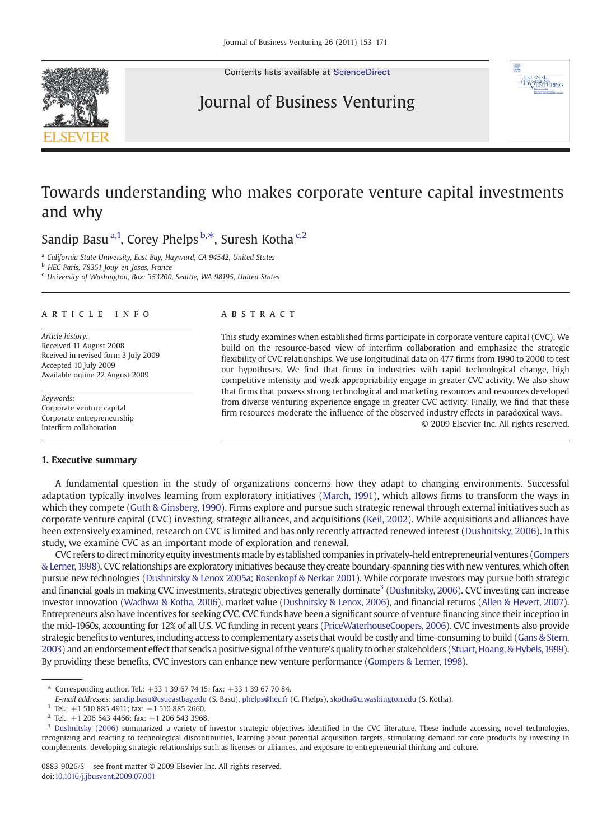Contents lists available at [ScienceDirect](http://www.sciencedirect.com/science/journal/08839026)

# Journal of Business Venturing

### Towards understanding who makes corporate venture capital investments and why

Sandip Basu a,1, Corey Phelps  $b, *$ , Suresh Kotha  $c, 2$ 

<sup>a</sup> California State University, East Bay, Hayward, CA 94542, United States

<sup>b</sup> HEC Paris, 78351 Jouy-en-Josas, France

<sup>c</sup> University of Washington, Box: 353200, Seattle, WA 98195, United States

#### article info abstract

Article history: Received 11 August 2008 Rceived in revised form 3 July 2009 Accepted 10 July 2009 Available online 22 August 2009

Keywords: Corporate venture capital Corporate entrepreneurship Interfirm collaboration

#### 1. Executive summary

This study examines when established firms participate in corporate venture capital (CVC). We build on the resource-based view of interfirm collaboration and emphasize the strategic flexibility of CVC relationships. We use longitudinal data on 477 firms from 1990 to 2000 to test our hypotheses. We find that firms in industries with rapid technological change, high competitive intensity and weak appropriability engage in greater CVC activity. We also show that firms that possess strong technological and marketing resources and resources developed from diverse venturing experience engage in greater CVC activity. Finally, we find that these firm resources moderate the influence of the observed industry effects in paradoxical ways. © 2009 Elsevier Inc. All rights reserved.

赠

**OURNAL**<br>OF SENTURING

A fundamental question in the study of organizations concerns how they adapt to changing environments. Successful adaptation typically involves learning from exploratory initiatives [\(March, 1991\)](#page-18-0), which allows firms to transform the ways in which they compete [\(Guth & Ginsberg, 1990](#page-17-0)). Firms explore and pursue such strategic renewal through external initiatives such as corporate venture capital (CVC) investing, strategic alliances, and acquisitions [\(Keil, 2002](#page-17-0)). While acquisitions and alliances have been extensively examined, research on CVC is limited and has only recently attracted renewed interest [\(Dushnitsky, 2006\)](#page-17-0). In this study, we examine CVC as an important mode of exploration and renewal.

CVC refers to direct minority equity investments made by established companies in privately-held entrepreneurial ventures [\(Gompers](#page-17-0) [& Lerner,1998](#page-17-0)). CVC relationships are exploratory initiatives because they create boundary-spanning ties with new ventures, which often pursue new technologies [\(Dushnitsky & Lenox 2005a; Rosenkopf & Nerkar 2001\)](#page-17-0). While corporate investors may pursue both strategic and financial goals in making CVC investments, strategic objectives generally dominate<sup>3</sup> [\(Dushnitsky, 2006](#page-17-0)). CVC investing can increase investor innovation ([Wadhwa & Kotha, 2006](#page-18-0)), market value [\(Dushnitsky & Lenox, 2006\)](#page-17-0), and financial returns ([Allen & Hevert, 2007\)](#page-16-0). Entrepreneurs also have incentives for seeking CVC. CVC funds have been a significant source of venture financing since their inception in the mid-1960s, accounting for 12% of all U.S. VC funding in recent years [\(PriceWaterhouseCoopers, 2006\)](#page-18-0). CVC investments also provide strategic benefits to ventures, including access to complementary assets that would be costly and time-consuming to build ([Gans & Stern,](#page-17-0) [2003\)](#page-17-0) and an endorsement effect that sends a positive signal of the venture's quality to other stakeholders [\(Stuart, Hoang, & Hybels,1999\)](#page-18-0). By providing these benefits, CVC investors can enhance new venture performance [\(Gompers & Lerner, 1998](#page-17-0)).



<sup>⁎</sup> Corresponding author. Tel.: +33 1 39 67 74 15; fax: +33 1 39 67 70 84.

E-mail addresses: [sandip.basu@csueastbay.edu](mailto:sandip.basu@csueastbay.edu) (S. Basu), [phelps@hec.fr](mailto:phelps@hec.fr) (C. Phelps), [skotha@u.washington.edu](mailto:skotha@u.washington.edu) (S. Kotha).

 $1$  Tel.: +1 510 885 4911; fax: +1 510 885 2660.

 $2$  Tel.: +1 206 543 4466; fax: +1 206 543 3968.

 $3$  [Dushnitsky \(2006\)](#page-17-0) summarized a variety of investor strategic objectives identified in the CVC literature. These include accessing novel technologies, recognizing and reacting to technological discontinuities, learning about potential acquisition targets, stimulating demand for core products by investing in complements, developing strategic relationships such as licenses or alliances, and exposure to entrepreneurial thinking and culture.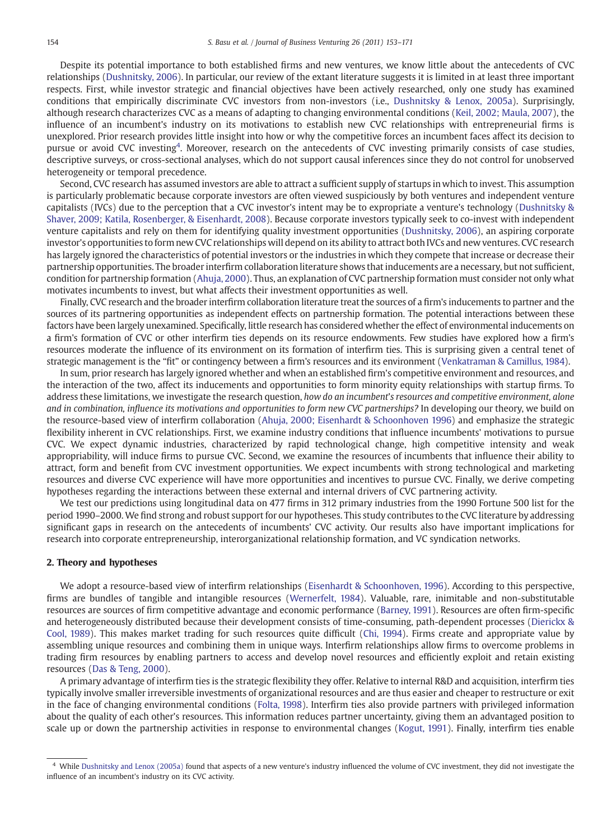Despite its potential importance to both established firms and new ventures, we know little about the antecedents of CVC relationships ([Dushnitsky, 2006\)](#page-17-0). In particular, our review of the extant literature suggests it is limited in at least three important respects. First, while investor strategic and financial objectives have been actively researched, only one study has examined conditions that empirically discriminate CVC investors from non-investors (i.e., [Dushnitsky & Lenox, 2005a\)](#page-17-0). Surprisingly, although research characterizes CVC as a means of adapting to changing environmental conditions ([Keil, 2002; Maula, 2007](#page-17-0)), the influence of an incumbent's industry on its motivations to establish new CVC relationships with entrepreneurial firms is unexplored. Prior research provides little insight into how or why the competitive forces an incumbent faces affect its decision to pursue or avoid CVC investing<sup>4</sup>. Moreover, research on the antecedents of CVC investing primarily consists of case studies, descriptive surveys, or cross-sectional analyses, which do not support causal inferences since they do not control for unobserved heterogeneity or temporal precedence.

Second, CVC research has assumed investors are able to attract a sufficient supply of startups in which to invest. This assumption is particularly problematic because corporate investors are often viewed suspiciously by both ventures and independent venture capitalists (IVCs) due to the perception that a CVC investor's intent may be to expropriate a venture's technology ([Dushnitsky &](#page-17-0) [Shaver, 2009; Katila, Rosenberger, & Eisenhardt, 2008](#page-17-0)). Because corporate investors typically seek to co-invest with independent venture capitalists and rely on them for identifying quality investment opportunities [\(Dushnitsky, 2006\)](#page-17-0), an aspiring corporate investor's opportunities to form new CVC relationships will depend on its ability to attract both IVCs and new ventures. CVC research has largely ignored the characteristics of potential investors or the industries in which they compete that increase or decrease their partnership opportunities. The broader interfirm collaboration literature shows that inducements are a necessary, but not sufficient, condition for partnership formation [\(Ahuja, 2000](#page-16-0)). Thus, an explanation of CVC partnership formation must consider not only what motivates incumbents to invest, but what affects their investment opportunities as well.

Finally, CVC research and the broader interfirm collaboration literature treat the sources of a firm's inducements to partner and the sources of its partnering opportunities as independent effects on partnership formation. The potential interactions between these factors have been largely unexamined. Specifically, little research has considered whether the effect of environmental inducements on a firm's formation of CVC or other interfirm ties depends on its resource endowments. Few studies have explored how a firm's resources moderate the influence of its environment on its formation of interfirm ties. This is surprising given a central tenet of strategic management is the "fit" or contingency between a firm's resources and its environment [\(Venkatraman & Camillus, 1984\)](#page-18-0).

In sum, prior research has largely ignored whether and when an established firm's competitive environment and resources, and the interaction of the two, affect its inducements and opportunities to form minority equity relationships with startup firms. To address these limitations, we investigate the research question, how do an incumbent's resources and competitive environment, alone and in combination, influence its motivations and opportunities to form new CVC partnerships? In developing our theory, we build on the resource-based view of interfirm collaboration [\(Ahuja, 2000; Eisenhardt & Schoonhoven 1996\)](#page-16-0) and emphasize the strategic flexibility inherent in CVC relationships. First, we examine industry conditions that influence incumbents' motivations to pursue CVC. We expect dynamic industries, characterized by rapid technological change, high competitive intensity and weak appropriability, will induce firms to pursue CVC. Second, we examine the resources of incumbents that influence their ability to attract, form and benefit from CVC investment opportunities. We expect incumbents with strong technological and marketing resources and diverse CVC experience will have more opportunities and incentives to pursue CVC. Finally, we derive competing hypotheses regarding the interactions between these external and internal drivers of CVC partnering activity.

We test our predictions using longitudinal data on 477 firms in 312 primary industries from the 1990 Fortune 500 list for the period 1990–2000. We find strong and robust support for our hypotheses. This study contributes to the CVC literature by addressing significant gaps in research on the antecedents of incumbents' CVC activity. Our results also have important implications for research into corporate entrepreneurship, interorganizational relationship formation, and VC syndication networks.

#### 2. Theory and hypotheses

We adopt a resource-based view of interfirm relationships [\(Eisenhardt & Schoonhoven, 1996\)](#page-17-0). According to this perspective, firms are bundles of tangible and intangible resources ([Wernerfelt, 1984](#page-18-0)). Valuable, rare, inimitable and non-substitutable resources are sources of firm competitive advantage and economic performance [\(Barney, 1991\)](#page-16-0). Resources are often firm-specific and heterogeneously distributed because their development consists of time-consuming, path-dependent processes ([Dierickx &](#page-16-0) [Cool, 1989\)](#page-16-0). This makes market trading for such resources quite difficult [\(Chi, 1994](#page-16-0)). Firms create and appropriate value by assembling unique resources and combining them in unique ways. Interfirm relationships allow firms to overcome problems in trading firm resources by enabling partners to access and develop novel resources and efficiently exploit and retain existing resources ([Das & Teng, 2000](#page-16-0)).

A primary advantage of interfirm ties is the strategic flexibility they offer. Relative to internal R&D and acquisition, interfirm ties typically involve smaller irreversible investments of organizational resources and are thus easier and cheaper to restructure or exit in the face of changing environmental conditions ([Folta, 1998\)](#page-17-0). Interfirm ties also provide partners with privileged information about the quality of each other's resources. This information reduces partner uncertainty, giving them an advantaged position to scale up or down the partnership activities in response to environmental changes [\(Kogut, 1991](#page-17-0)). Finally, interfirm ties enable

<sup>4</sup> While [Dushnitsky and Lenox \(2005a\)](#page-17-0) found that aspects of a new venture's industry influenced the volume of CVC investment, they did not investigate the influence of an incumbent's industry on its CVC activity.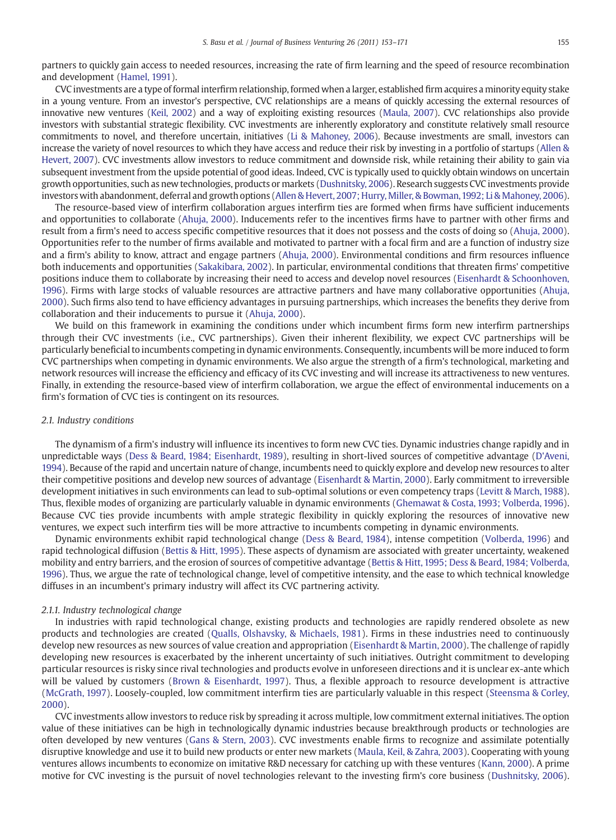partners to quickly gain access to needed resources, increasing the rate of firm learning and the speed of resource recombination and development ([Hamel, 1991](#page-17-0)).

CVC investments are a type of formal interfirm relationship, formed when a larger, established firm acquires a minority equity stake in a young venture. From an investor's perspective, CVC relationships are a means of quickly accessing the external resources of innovative new ventures [\(Keil, 2002\)](#page-17-0) and a way of exploiting existing resources [\(Maula, 2007\)](#page-18-0). CVC relationships also provide investors with substantial strategic flexibility. CVC investments are inherently exploratory and constitute relatively small resource commitments to novel, and therefore uncertain, initiatives ([Li & Mahoney, 2006\)](#page-18-0). Because investments are small, investors can increase the variety of novel resources to which they have access and reduce their risk by investing in a portfolio of startups [\(Allen &](#page-16-0) [Hevert, 2007](#page-16-0)). CVC investments allow investors to reduce commitment and downside risk, while retaining their ability to gain via subsequent investment from the upside potential of good ideas. Indeed, CVC is typically used to quickly obtain windows on uncertain growth opportunities, such as new technologies, products or markets ([Dushnitsky, 2006\)](#page-17-0). Research suggests CVC investments provide investors with abandonment, deferral and growth options [\(Allen & Hevert, 2007; Hurry, Miller, & Bowman,1992; Li & Mahoney, 2006\)](#page-16-0).

The resource-based view of interfirm collaboration argues interfirm ties are formed when firms have sufficient inducements and opportunities to collaborate ([Ahuja, 2000](#page-16-0)). Inducements refer to the incentives firms have to partner with other firms and result from a firm's need to access specific competitive resources that it does not possess and the costs of doing so ([Ahuja, 2000\)](#page-16-0). Opportunities refer to the number of firms available and motivated to partner with a focal firm and are a function of industry size and a firm's ability to know, attract and engage partners ([Ahuja, 2000\)](#page-16-0). Environmental conditions and firm resources influence both inducements and opportunities [\(Sakakibara, 2002\)](#page-18-0). In particular, environmental conditions that threaten firms' competitive positions induce them to collaborate by increasing their need to access and develop novel resources ([Eisenhardt & Schoonhoven,](#page-17-0) [1996\)](#page-17-0). Firms with large stocks of valuable resources are attractive partners and have many collaborative opportunities [\(Ahuja,](#page-16-0) [2000\)](#page-16-0). Such firms also tend to have efficiency advantages in pursuing partnerships, which increases the benefits they derive from collaboration and their inducements to pursue it [\(Ahuja, 2000](#page-16-0)).

We build on this framework in examining the conditions under which incumbent firms form new interfirm partnerships through their CVC investments (i.e., CVC partnerships). Given their inherent flexibility, we expect CVC partnerships will be particularly beneficial to incumbents competing in dynamic environments. Consequently, incumbents will be more induced to form CVC partnerships when competing in dynamic environments. We also argue the strength of a firm's technological, marketing and network resources will increase the efficiency and efficacy of its CVC investing and will increase its attractiveness to new ventures. Finally, in extending the resource-based view of interfirm collaboration, we argue the effect of environmental inducements on a firm's formation of CVC ties is contingent on its resources.

#### 2.1. Industry conditions

The dynamism of a firm's industry will influence its incentives to form new CVC ties. Dynamic industries change rapidly and in unpredictable ways [\(Dess & Beard, 1984; Eisenhardt, 1989\)](#page-16-0), resulting in short-lived sources of competitive advantage [\(D'Aveni,](#page-16-0) [1994\)](#page-16-0). Because of the rapid and uncertain nature of change, incumbents need to quickly explore and develop new resources to alter their competitive positions and develop new sources of advantage ([Eisenhardt & Martin, 2000](#page-17-0)). Early commitment to irreversible development initiatives in such environments can lead to sub-optimal solutions or even competency traps [\(Levitt & March, 1988\)](#page-18-0). Thus, flexible modes of organizing are particularly valuable in dynamic environments [\(Ghemawat & Costa, 1993;](#page-17-0) [Volberda, 1996\)](#page-18-0). Because CVC ties provide incumbents with ample strategic flexibility in quickly exploring the resources of innovative new ventures, we expect such interfirm ties will be more attractive to incumbents competing in dynamic environments.

Dynamic environments exhibit rapid technological change [\(Dess & Beard, 1984\)](#page-16-0), intense competition ([Volberda, 1996](#page-18-0)) and rapid technological diffusion [\(Bettis & Hitt, 1995\)](#page-16-0). These aspects of dynamism are associated with greater uncertainty, weakened mobility and entry barriers, and the erosion of sources of competitive advantage [\(Bettis & Hitt, 1995; Dess & Beard, 1984; Volberda,](#page-16-0) [1996\)](#page-16-0). Thus, we argue the rate of technological change, level of competitive intensity, and the ease to which technical knowledge diffuses in an incumbent's primary industry will affect its CVC partnering activity.

#### 2.1.1. Industry technological change

In industries with rapid technological change, existing products and technologies are rapidly rendered obsolete as new products and technologies are created ([Qualls, Olshavsky, & Michaels, 1981\)](#page-18-0). Firms in these industries need to continuously develop new resources as new sources of value creation and appropriation ([Eisenhardt & Martin, 2000\)](#page-17-0). The challenge of rapidly developing new resources is exacerbated by the inherent uncertainty of such initiatives. Outright commitment to developing particular resources is risky since rival technologies and products evolve in unforeseen directions and it is unclear ex-ante which will be valued by customers ([Brown & Eisenhardt, 1997\)](#page-16-0). Thus, a flexible approach to resource development is attractive [\(McGrath, 1997](#page-18-0)). Loosely-coupled, low commitment interfirm ties are particularly valuable in this respect ([Steensma & Corley,](#page-18-0) [2000\)](#page-18-0).

CVC investments allow investors to reduce risk by spreading it across multiple, low commitment external initiatives. The option value of these initiatives can be high in technologically dynamic industries because breakthrough products or technologies are often developed by new ventures [\(Gans & Stern, 2003\)](#page-17-0). CVC investments enable firms to recognize and assimilate potentially disruptive knowledge and use it to build new products or enter new markets [\(Maula, Keil, & Zahra, 2003](#page-18-0)). Cooperating with young ventures allows incumbents to economize on imitative R&D necessary for catching up with these ventures ([Kann, 2000\)](#page-17-0). A prime motive for CVC investing is the pursuit of novel technologies relevant to the investing firm's core business [\(Dushnitsky, 2006\)](#page-17-0).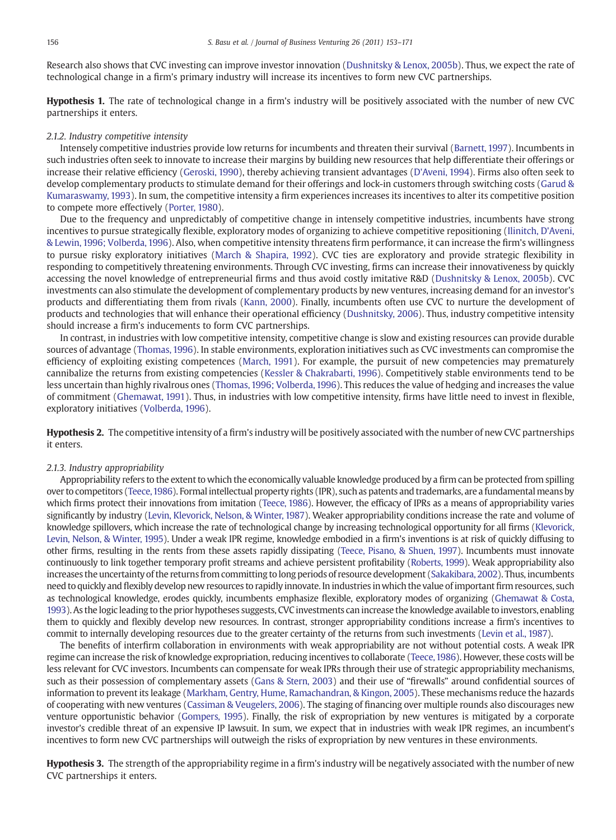<span id="page-3-0"></span>Research also shows that CVC investing can improve investor innovation [\(Dushnitsky & Lenox, 2005b](#page-17-0)). Thus, we expect the rate of technological change in a firm's primary industry will increase its incentives to form new CVC partnerships.

Hypothesis 1. The rate of technological change in a firm's industry will be positively associated with the number of new CVC partnerships it enters.

#### 2.1.2. Industry competitive intensity

Intensely competitive industries provide low returns for incumbents and threaten their survival [\(Barnett, 1997\)](#page-16-0). Incumbents in such industries often seek to innovate to increase their margins by building new resources that help differentiate their offerings or increase their relative efficiency [\(Geroski, 1990\)](#page-17-0), thereby achieving transient advantages ([D'Aveni, 1994\)](#page-16-0). Firms also often seek to develop complementary products to stimulate demand for their offerings and lock-in customers through switching costs ([Garud &](#page-17-0) [Kumaraswamy, 1993](#page-17-0)). In sum, the competitive intensity a firm experiences increases its incentives to alter its competitive position to compete more effectively [\(Porter, 1980](#page-18-0)).

Due to the frequency and unpredictably of competitive change in intensely competitive industries, incumbents have strong incentives to pursue strategically flexible, exploratory modes of organizing to achieve competitive repositioning [\(Ilinitch, D'Aveni,](#page-17-0) [& Lewin, 1996; Volberda, 1996\)](#page-17-0). Also, when competitive intensity threatens firm performance, it can increase the firm's willingness to pursue risky exploratory initiatives [\(March & Shapira, 1992\)](#page-18-0). CVC ties are exploratory and provide strategic flexibility in responding to competitively threatening environments. Through CVC investing, firms can increase their innovativeness by quickly accessing the novel knowledge of entrepreneurial firms and thus avoid costly imitative R&D ([Dushnitsky & Lenox, 2005b\)](#page-17-0). CVC investments can also stimulate the development of complementary products by new ventures, increasing demand for an investor's products and differentiating them from rivals ([Kann, 2000\)](#page-17-0). Finally, incumbents often use CVC to nurture the development of products and technologies that will enhance their operational efficiency ([Dushnitsky, 2006\)](#page-17-0). Thus, industry competitive intensity should increase a firm's inducements to form CVC partnerships.

In contrast, in industries with low competitive intensity, competitive change is slow and existing resources can provide durable sources of advantage [\(Thomas, 1996](#page-18-0)). In stable environments, exploration initiatives such as CVC investments can compromise the efficiency of exploiting existing competences [\(March, 1991](#page-18-0)). For example, the pursuit of new competencies may prematurely cannibalize the returns from existing competencies ([Kessler & Chakrabarti, 1996](#page-17-0)). Competitively stable environments tend to be less uncertain than highly rivalrous ones ([Thomas, 1996; Volberda, 1996](#page-18-0)). This reduces the value of hedging and increases the value of commitment [\(Ghemawat, 1991\)](#page-17-0). Thus, in industries with low competitive intensity, firms have little need to invest in flexible, exploratory initiatives [\(Volberda, 1996](#page-18-0)).

Hypothesis 2. The competitive intensity of a firm's industry will be positively associated with the number of new CVC partnerships it enters.

#### 2.1.3. Industry appropriability

Appropriability refers to the extent to which the economically valuable knowledge produced by a firm can be protected from spilling over to competitors [\(Teece,1986](#page-18-0)). Formal intellectual property rights (IPR), such as patents and trademarks, are a fundamental means by which firms protect their innovations from imitation [\(Teece, 1986\)](#page-18-0). However, the efficacy of IPRs as a means of appropriability varies significantly by industry [\(Levin, Klevorick, Nelson, & Winter, 1987](#page-18-0)). Weaker appropriability conditions increase the rate and volume of knowledge spillovers, which increase the rate of technological change by increasing technological opportunity for all firms [\(Klevorick,](#page-17-0) [Levin, Nelson, & Winter, 1995](#page-17-0)). Under a weak IPR regime, knowledge embodied in a firm's inventions is at risk of quickly diffusing to other firms, resulting in the rents from these assets rapidly dissipating [\(Teece, Pisano, & Shuen, 1997\)](#page-18-0). Incumbents must innovate continuously to link together temporary profit streams and achieve persistent profitability [\(Roberts, 1999](#page-18-0)). Weak appropriability also increases the uncertainty of the returns from committing to long periods of resource development [\(Sakakibara, 2002\)](#page-18-0). Thus, incumbents need to quickly and flexibly develop new resources to rapidly innovate. In industries inwhich the value of important firm resources, such as technological knowledge, erodes quickly, incumbents emphasize flexible, exploratory modes of organizing [\(Ghemawat & Costa,](#page-17-0) [1993](#page-17-0)). As the logic leading to the prior hypotheses suggests, CVC investments can increase the knowledge available to investors, enabling them to quickly and flexibly develop new resources. In contrast, stronger appropriability conditions increase a firm's incentives to commit to internally developing resources due to the greater certainty of the returns from such investments ([Levin et al., 1987\)](#page-18-0).

The benefits of interfirm collaboration in environments with weak appropriability are not without potential costs. A weak IPR regime can increase the risk of knowledge expropriation, reducing incentives to collaborate [\(Teece,1986\)](#page-18-0). However, these costs will be less relevant for CVC investors. Incumbents can compensate for weak IPRs through their use of strategic appropriability mechanisms, such as their possession of complementary assets [\(Gans & Stern, 2003](#page-17-0)) and their use of "firewalls" around confidential sources of information to prevent its leakage [\(Markham, Gentry, Hume, Ramachandran, & Kingon, 2005\)](#page-18-0). These mechanisms reduce the hazards of cooperating with new ventures [\(Cassiman & Veugelers, 2006](#page-16-0)). The staging of financing over multiple rounds also discourages new venture opportunistic behavior [\(Gompers, 1995](#page-17-0)). Finally, the risk of expropriation by new ventures is mitigated by a corporate investor's credible threat of an expensive IP lawsuit. In sum, we expect that in industries with weak IPR regimes, an incumbent's incentives to form new CVC partnerships will outweigh the risks of expropriation by new ventures in these environments.

Hypothesis 3. The strength of the appropriability regime in a firm's industry will be negatively associated with the number of new CVC partnerships it enters.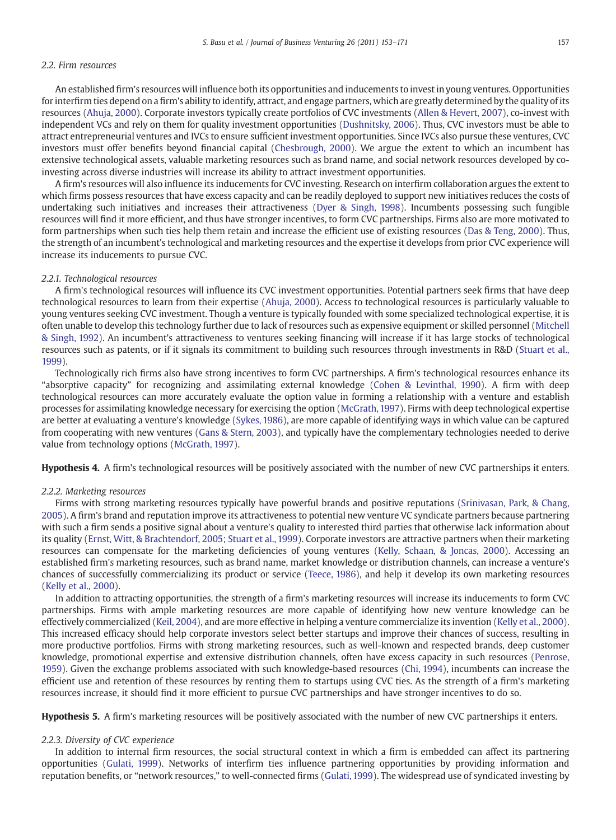#### <span id="page-4-0"></span>2.2. Firm resources

An established firm's resources will influence both its opportunities and inducements to invest in young ventures. Opportunities for interfirm ties depend on a firm's ability to identify, attract, and engage partners, which are greatly determined by the quality of its resources ([Ahuja, 2000](#page-16-0)). Corporate investors typically create portfolios of CVC investments [\(Allen & Hevert, 2007\)](#page-16-0), co-invest with independent VCs and rely on them for quality investment opportunities [\(Dushnitsky, 2006](#page-17-0)). Thus, CVC investors must be able to attract entrepreneurial ventures and IVCs to ensure sufficient investment opportunities. Since IVCs also pursue these ventures, CVC investors must offer benefits beyond financial capital ([Chesbrough, 2000\)](#page-16-0). We argue the extent to which an incumbent has extensive technological assets, valuable marketing resources such as brand name, and social network resources developed by coinvesting across diverse industries will increase its ability to attract investment opportunities.

A firm's resources will also influence its inducements for CVC investing. Research on interfirm collaboration argues the extent to which firms possess resources that have excess capacity and can be readily deployed to support new initiatives reduces the costs of undertaking such initiatives and increases their attractiveness ([Dyer & Singh, 1998\)](#page-17-0). Incumbents possessing such fungible resources will find it more efficient, and thus have stronger incentives, to form CVC partnerships. Firms also are more motivated to form partnerships when such ties help them retain and increase the efficient use of existing resources [\(Das & Teng, 2000](#page-16-0)). Thus, the strength of an incumbent's technological and marketing resources and the expertise it develops from prior CVC experience will increase its inducements to pursue CVC.

#### 2.2.1. Technological resources

A firm's technological resources will influence its CVC investment opportunities. Potential partners seek firms that have deep technological resources to learn from their expertise ([Ahuja, 2000\)](#page-16-0). Access to technological resources is particularly valuable to young ventures seeking CVC investment. Though a venture is typically founded with some specialized technological expertise, it is often unable to develop this technology further due to lack of resources such as expensive equipment or skilled personnel [\(Mitchell](#page-18-0) [& Singh, 1992](#page-18-0)). An incumbent's attractiveness to ventures seeking financing will increase if it has large stocks of technological resources such as patents, or if it signals its commitment to building such resources through investments in R&D [\(Stuart et al.,](#page-18-0) [1999\)](#page-18-0).

Technologically rich firms also have strong incentives to form CVC partnerships. A firm's technological resources enhance its "absorptive capacity" for recognizing and assimilating external knowledge [\(Cohen & Levinthal, 1990\)](#page-16-0). A firm with deep technological resources can more accurately evaluate the option value in forming a relationship with a venture and establish processes for assimilating knowledge necessary for exercising the option [\(McGrath, 1997](#page-18-0)). Firms with deep technological expertise are better at evaluating a venture's knowledge ([Sykes, 1986\)](#page-18-0), are more capable of identifying ways in which value can be captured from cooperating with new ventures ([Gans & Stern, 2003](#page-17-0)), and typically have the complementary technologies needed to derive value from technology options ([McGrath, 1997\)](#page-18-0).

Hypothesis 4. A firm's technological resources will be positively associated with the number of new CVC partnerships it enters.

#### 2.2.2. Marketing resources

Firms with strong marketing resources typically have powerful brands and positive reputations ([Srinivasan, Park, & Chang,](#page-18-0) [2005](#page-18-0)). A firm's brand and reputation improve its attractiveness to potential new venture VC syndicate partners because partnering with such a firm sends a positive signal about a venture's quality to interested third parties that otherwise lack information about its quality ([Ernst, Witt, & Brachtendorf, 2005; Stuart et al., 1999](#page-17-0)). Corporate investors are attractive partners when their marketing resources can compensate for the marketing deficiencies of young ventures [\(Kelly, Schaan, & Joncas, 2000\)](#page-17-0). Accessing an established firm's marketing resources, such as brand name, market knowledge or distribution channels, can increase a venture's chances of successfully commercializing its product or service [\(Teece, 1986](#page-18-0)), and help it develop its own marketing resources [\(Kelly et al., 2000](#page-17-0)).

In addition to attracting opportunities, the strength of a firm's marketing resources will increase its inducements to form CVC partnerships. Firms with ample marketing resources are more capable of identifying how new venture knowledge can be effectively commercialized [\(Keil, 2004\)](#page-17-0), and are more effective in helping a venture commercialize its invention [\(Kelly et al., 2000\)](#page-17-0). This increased efficacy should help corporate investors select better startups and improve their chances of success, resulting in more productive portfolios. Firms with strong marketing resources, such as well-known and respected brands, deep customer knowledge, promotional expertise and extensive distribution channels, often have excess capacity in such resources ([Penrose,](#page-18-0) [1959\)](#page-18-0). Given the exchange problems associated with such knowledge-based resources ([Chi, 1994](#page-16-0)), incumbents can increase the efficient use and retention of these resources by renting them to startups using CVC ties. As the strength of a firm's marketing resources increase, it should find it more efficient to pursue CVC partnerships and have stronger incentives to do so.

Hypothesis 5. A firm's marketing resources will be positively associated with the number of new CVC partnerships it enters.

#### 2.2.3. Diversity of CVC experience

In addition to internal firm resources, the social structural context in which a firm is embedded can affect its partnering opportunities [\(Gulati, 1999](#page-17-0)). Networks of interfirm ties influence partnering opportunities by providing information and reputation benefits, or "network resources," to well-connected firms ([Gulati, 1999](#page-17-0)). The widespread use of syndicated investing by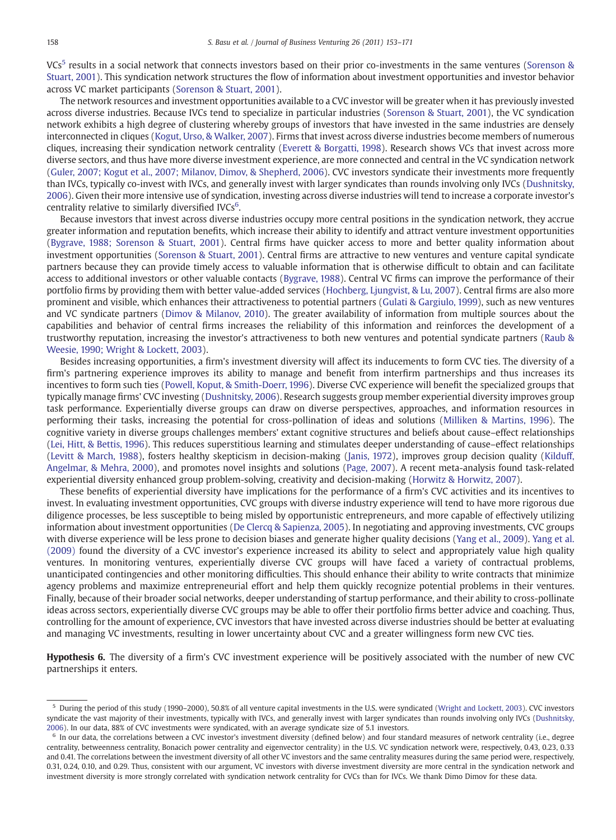<span id="page-5-0"></span>VCs<sup>5</sup> results in a social network that connects investors based on their prior co-investments in the same ventures ([Sorenson &](#page-18-0) [Stuart, 2001](#page-18-0)). This syndication network structures the flow of information about investment opportunities and investor behavior across VC market participants ([Sorenson & Stuart, 2001\)](#page-18-0).

The network resources and investment opportunities available to a CVC investor will be greater when it has previously invested across diverse industries. Because IVCs tend to specialize in particular industries [\(Sorenson & Stuart, 2001\)](#page-18-0), the VC syndication network exhibits a high degree of clustering whereby groups of investors that have invested in the same industries are densely interconnected in cliques ([Kogut, Urso, & Walker, 2007\)](#page-17-0). Firms that invest across diverse industries become members of numerous cliques, increasing their syndication network centrality ([Everett & Borgatti, 1998\)](#page-17-0). Research shows VCs that invest across more diverse sectors, and thus have more diverse investment experience, are more connected and central in the VC syndication network ([Guler, 2007; Kogut et al., 2007; Milanov, Dimov, & Shepherd, 2006](#page-17-0)). CVC investors syndicate their investments more frequently than IVCs, typically co-invest with IVCs, and generally invest with larger syndicates than rounds involving only IVCs [\(Dushnitsky,](#page-17-0) [2006\)](#page-17-0). Given their more intensive use of syndication, investing across diverse industries will tend to increase a corporate investor's centrality relative to similarly diversified IVCs $<sup>6</sup>$ .</sup>

Because investors that invest across diverse industries occupy more central positions in the syndication network, they accrue greater information and reputation benefits, which increase their ability to identify and attract venture investment opportunities ([Bygrave, 1988; Sorenson & Stuart, 2001\)](#page-16-0). Central firms have quicker access to more and better quality information about investment opportunities ([Sorenson & Stuart, 2001](#page-18-0)). Central firms are attractive to new ventures and venture capital syndicate partners because they can provide timely access to valuable information that is otherwise difficult to obtain and can facilitate access to additional investors or other valuable contacts ([Bygrave, 1988](#page-16-0)). Central VC firms can improve the performance of their portfolio firms by providing them with better value-added services [\(Hochberg, Ljungvist, & Lu, 2007](#page-17-0)). Central firms are also more prominent and visible, which enhances their attractiveness to potential partners [\(Gulati & Gargiulo, 1999\)](#page-17-0), such as new ventures and VC syndicate partners [\(Dimov & Milanov, 2010](#page-16-0)). The greater availability of information from multiple sources about the capabilities and behavior of central firms increases the reliability of this information and reinforces the development of a trustworthy reputation, increasing the investor's attractiveness to both new ventures and potential syndicate partners [\(Raub &](#page-18-0) [Weesie, 1990; Wright & Lockett, 2003\)](#page-18-0).

Besides increasing opportunities, a firm's investment diversity will affect its inducements to form CVC ties. The diversity of a firm's partnering experience improves its ability to manage and benefit from interfirm partnerships and thus increases its incentives to form such ties ([Powell, Koput, & Smith-Doerr, 1996\)](#page-18-0). Diverse CVC experience will benefit the specialized groups that typically manage firms' CVC investing [\(Dushnitsky, 2006\)](#page-17-0). Research suggests group member experiential diversity improves group task performance. Experientially diverse groups can draw on diverse perspectives, approaches, and information resources in performing their tasks, increasing the potential for cross-pollination of ideas and solutions ([Milliken & Martins, 1996](#page-18-0)). The cognitive variety in diverse groups challenges members' extant cognitive structures and beliefs about cause–effect relationships ([Lei, Hitt, & Bettis, 1996\)](#page-18-0). This reduces superstitious learning and stimulates deeper understanding of cause–effect relationships ([Levitt & March, 1988](#page-18-0)), fosters healthy skepticism in decision-making ([Janis, 1972](#page-17-0)), improves group decision quality [\(Kilduff,](#page-17-0) [Angelmar, & Mehra, 2000\)](#page-17-0), and promotes novel insights and solutions [\(Page, 2007\)](#page-18-0). A recent meta-analysis found task-related experiential diversity enhanced group problem-solving, creativity and decision-making [\(Horwitz & Horwitz, 2007](#page-17-0)).

These benefits of experiential diversity have implications for the performance of a firm's CVC activities and its incentives to invest. In evaluating investment opportunities, CVC groups with diverse industry experience will tend to have more rigorous due diligence processes, be less susceptible to being misled by opportunistic entrepreneurs, and more capable of effectively utilizing information about investment opportunities [\(De Clercq & Sapienza, 2005](#page-16-0)). In negotiating and approving investments, CVC groups with diverse experience will be less prone to decision biases and generate higher quality decisions ([Yang et al., 2009](#page-18-0)). [Yang et al.](#page-18-0) [\(2009\)](#page-18-0) found the diversity of a CVC investor's experience increased its ability to select and appropriately value high quality ventures. In monitoring ventures, experientially diverse CVC groups will have faced a variety of contractual problems, unanticipated contingencies and other monitoring difficulties. This should enhance their ability to write contracts that minimize agency problems and maximize entrepreneurial effort and help them quickly recognize potential problems in their ventures. Finally, because of their broader social networks, deeper understanding of startup performance, and their ability to cross-pollinate ideas across sectors, experientially diverse CVC groups may be able to offer their portfolio firms better advice and coaching. Thus, controlling for the amount of experience, CVC investors that have invested across diverse industries should be better at evaluating and managing VC investments, resulting in lower uncertainty about CVC and a greater willingness form new CVC ties.

Hypothesis 6. The diversity of a firm's CVC investment experience will be positively associated with the number of new CVC partnerships it enters.

<sup>5</sup> During the period of this study (1990–2000), 50.8% of all venture capital investments in the U.S. were syndicated [\(Wright and Lockett, 2003](#page-18-0)). CVC investors syndicate the vast majority of their investments, typically with IVCs, and generally invest with larger syndicates than rounds involving only IVCs [\(Dushnitsky,](#page-17-0) [2006](#page-17-0)). In our data, 88% of CVC investments were syndicated, with an average syndicate size of 5.1 investors.

 $6$  In our data, the correlations between a CVC investor's investment diversity (defined below) and four standard measures of network centrality (i.e., degree centrality, betweenness centrality, Bonacich power centrality and eigenvector centrality) in the U.S. VC syndication network were, respectively, 0.43, 0.23, 0.33 and 0.41. The correlations between the investment diversity of all other VC investors and the same centrality measures during the same period were, respectively, 0.31, 0.24, 0.10, and 0.29. Thus, consistent with our argument, VC investors with diverse investment diversity are more central in the syndication network and investment diversity is more strongly correlated with syndication network centrality for CVCs than for IVCs. We thank Dimo Dimov for these data.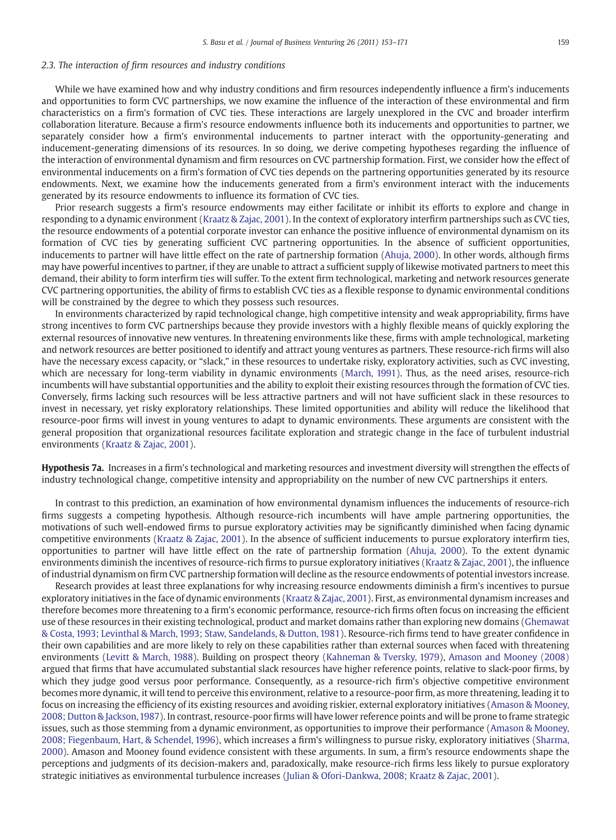#### <span id="page-6-0"></span>2.3. The interaction of firm resources and industry conditions

While we have examined how and why industry conditions and firm resources independently influence a firm's inducements and opportunities to form CVC partnerships, we now examine the influence of the interaction of these environmental and firm characteristics on a firm's formation of CVC ties. These interactions are largely unexplored in the CVC and broader interfirm collaboration literature. Because a firm's resource endowments influence both its inducements and opportunities to partner, we separately consider how a firm's environmental inducements to partner interact with the opportunity-generating and inducement-generating dimensions of its resources. In so doing, we derive competing hypotheses regarding the influence of the interaction of environmental dynamism and firm resources on CVC partnership formation. First, we consider how the effect of environmental inducements on a firm's formation of CVC ties depends on the partnering opportunities generated by its resource endowments. Next, we examine how the inducements generated from a firm's environment interact with the inducements generated by its resource endowments to influence its formation of CVC ties.

Prior research suggests a firm's resource endowments may either facilitate or inhibit its efforts to explore and change in responding to a dynamic environment [\(Kraatz & Zajac, 2001\)](#page-17-0). In the context of exploratory interfirm partnerships such as CVC ties, the resource endowments of a potential corporate investor can enhance the positive influence of environmental dynamism on its formation of CVC ties by generating sufficient CVC partnering opportunities. In the absence of sufficient opportunities, inducements to partner will have little effect on the rate of partnership formation [\(Ahuja, 2000](#page-16-0)). In other words, although firms may have powerful incentives to partner, if they are unable to attract a sufficient supply of likewise motivated partners to meet this demand, their ability to form interfirm ties will suffer. To the extent firm technological, marketing and network resources generate CVC partnering opportunities, the ability of firms to establish CVC ties as a flexible response to dynamic environmental conditions will be constrained by the degree to which they possess such resources.

In environments characterized by rapid technological change, high competitive intensity and weak appropriability, firms have strong incentives to form CVC partnerships because they provide investors with a highly flexible means of quickly exploring the external resources of innovative new ventures. In threatening environments like these, firms with ample technological, marketing and network resources are better positioned to identify and attract young ventures as partners. These resource-rich firms will also have the necessary excess capacity, or "slack," in these resources to undertake risky, exploratory activities, such as CVC investing, which are necessary for long-term viability in dynamic environments ([March, 1991](#page-18-0)). Thus, as the need arises, resource-rich incumbents will have substantial opportunities and the ability to exploit their existing resources through the formation of CVC ties. Conversely, firms lacking such resources will be less attractive partners and will not have sufficient slack in these resources to invest in necessary, yet risky exploratory relationships. These limited opportunities and ability will reduce the likelihood that resource-poor firms will invest in young ventures to adapt to dynamic environments. These arguments are consistent with the general proposition that organizational resources facilitate exploration and strategic change in the face of turbulent industrial environments [\(Kraatz & Zajac, 2001\)](#page-17-0).

Hypothesis 7a. Increases in a firm's technological and marketing resources and investment diversity will strengthen the effects of industry technological change, competitive intensity and appropriability on the number of new CVC partnerships it enters.

In contrast to this prediction, an examination of how environmental dynamism influences the inducements of resource-rich firms suggests a competing hypothesis. Although resource-rich incumbents will have ample partnering opportunities, the motivations of such well-endowed firms to pursue exploratory activities may be significantly diminished when facing dynamic competitive environments ([Kraatz & Zajac, 2001\)](#page-17-0). In the absence of sufficient inducements to pursue exploratory interfirm ties, opportunities to partner will have little effect on the rate of partnership formation [\(Ahuja, 2000\)](#page-16-0). To the extent dynamic environments diminish the incentives of resource-rich firms to pursue exploratory initiatives [\(Kraatz & Zajac, 2001\)](#page-17-0), the influence of industrial dynamism on firm CVC partnership formation will decline as the resource endowments of potential investors increase.

Research provides at least three explanations for why increasing resource endowments diminish a firm's incentives to pursue exploratory initiatives in the face of dynamic environments ([Kraatz & Zajac, 2001\)](#page-17-0). First, as environmental dynamism increases and therefore becomes more threatening to a firm's economic performance, resource-rich firms often focus on increasing the efficient use of these resources in their existing technological, product and market domains rather than exploring new domains ([Ghemawat](#page-17-0) [& Costa, 1993;](#page-17-0) [Levinthal & March, 1993; Staw, Sandelands, & Dutton, 1981\)](#page-18-0). Resource-rich firms tend to have greater confidence in their own capabilities and are more likely to rely on these capabilities rather than external sources when faced with threatening environments ([Levitt & March, 1988\)](#page-18-0). Building on prospect theory [\(Kahneman & Tversky, 1979](#page-17-0)), [Amason and Mooney \(2008\)](#page-16-0) argued that firms that have accumulated substantial slack resources have higher reference points, relative to slack-poor firms, by which they judge good versus poor performance. Consequently, as a resource-rich firm's objective competitive environment becomes more dynamic, it will tend to perceive this environment, relative to a resource-poor firm, as more threatening, leading it to focus on increasing the efficiency of its existing resources and avoiding riskier, external exploratory initiatives ([Amason & Mooney,](#page-16-0) [2008; Dutton & Jackson,1987\)](#page-16-0). In contrast, resource-poor firms will have lower reference points and will be prone to frame strategic issues, such as those stemming from a dynamic environment, as opportunities to improve their performance [\(Amason & Mooney,](#page-16-0) [2008; Fiegenbaum, Hart, & Schendel, 1996](#page-16-0)), which increases a firm's willingness to pursue risky, exploratory initiatives ([Sharma,](#page-18-0) [2000\)](#page-18-0). Amason and Mooney found evidence consistent with these arguments. In sum, a firm's resource endowments shape the perceptions and judgments of its decision-makers and, paradoxically, make resource-rich firms less likely to pursue exploratory strategic initiatives as environmental turbulence increases [\(Julian & Ofori-Dankwa, 2008; Kraatz & Zajac, 2001\)](#page-17-0).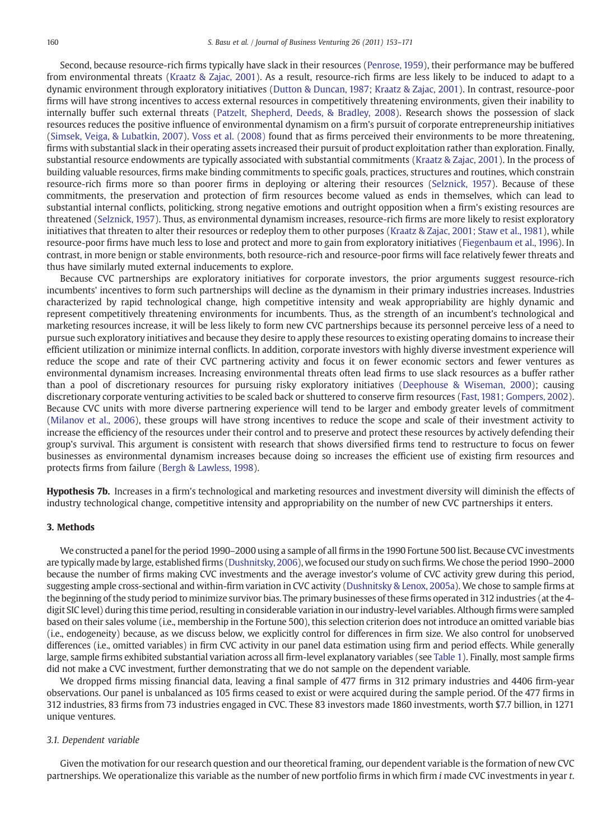<span id="page-7-0"></span>Second, because resource-rich firms typically have slack in their resources ([Penrose, 1959](#page-18-0)), their performance may be buffered from environmental threats [\(Kraatz & Zajac, 2001](#page-17-0)). As a result, resource-rich firms are less likely to be induced to adapt to a dynamic environment through exploratory initiatives ([Dutton & Duncan, 1987; Kraatz & Zajac, 2001](#page-17-0)). In contrast, resource-poor firms will have strong incentives to access external resources in competitively threatening environments, given their inability to internally buffer such external threats ([Patzelt, Shepherd, Deeds, & Bradley, 2008\)](#page-18-0). Research shows the possession of slack resources reduces the positive influence of environmental dynamism on a firm's pursuit of corporate entrepreneurship initiatives ([Simsek, Veiga, & Lubatkin, 2007\)](#page-18-0). [Voss et al. \(2008\)](#page-18-0) found that as firms perceived their environments to be more threatening, firms with substantial slack in their operating assets increased their pursuit of product exploitation rather than exploration. Finally, substantial resource endowments are typically associated with substantial commitments [\(Kraatz & Zajac, 2001\)](#page-17-0). In the process of building valuable resources, firms make binding commitments to specific goals, practices, structures and routines, which constrain resource-rich firms more so than poorer firms in deploying or altering their resources ([Selznick, 1957](#page-18-0)). Because of these commitments, the preservation and protection of firm resources become valued as ends in themselves, which can lead to substantial internal conflicts, politicking, strong negative emotions and outright opposition when a firm's existing resources are threatened [\(Selznick, 1957\)](#page-18-0). Thus, as environmental dynamism increases, resource-rich firms are more likely to resist exploratory initiatives that threaten to alter their resources or redeploy them to other purposes ([Kraatz & Zajac, 2001; Staw et al., 1981\)](#page-17-0), while resource-poor firms have much less to lose and protect and more to gain from exploratory initiatives ([Fiegenbaum et al., 1996](#page-17-0)). In contrast, in more benign or stable environments, both resource-rich and resource-poor firms will face relatively fewer threats and thus have similarly muted external inducements to explore.

Because CVC partnerships are exploratory initiatives for corporate investors, the prior arguments suggest resource-rich incumbents' incentives to form such partnerships will decline as the dynamism in their primary industries increases. Industries characterized by rapid technological change, high competitive intensity and weak appropriability are highly dynamic and represent competitively threatening environments for incumbents. Thus, as the strength of an incumbent's technological and marketing resources increase, it will be less likely to form new CVC partnerships because its personnel perceive less of a need to pursue such exploratory initiatives and because they desire to apply these resources to existing operating domains to increase their efficient utilization or minimize internal conflicts. In addition, corporate investors with highly diverse investment experience will reduce the scope and rate of their CVC partnering activity and focus it on fewer economic sectors and fewer ventures as environmental dynamism increases. Increasing environmental threats often lead firms to use slack resources as a buffer rather than a pool of discretionary resources for pursuing risky exploratory initiatives ([Deephouse & Wiseman, 2000\)](#page-16-0); causing discretionary corporate venturing activities to be scaled back or shuttered to conserve firm resources ([Fast, 1981; Gompers, 2002](#page-17-0)). Because CVC units with more diverse partnering experience will tend to be larger and embody greater levels of commitment ([Milanov et al., 2006](#page-18-0)), these groups will have strong incentives to reduce the scope and scale of their investment activity to increase the efficiency of the resources under their control and to preserve and protect these resources by actively defending their group's survival. This argument is consistent with research that shows diversified firms tend to restructure to focus on fewer businesses as environmental dynamism increases because doing so increases the efficient use of existing firm resources and protects firms from failure [\(Bergh & Lawless, 1998\)](#page-16-0).

Hypothesis 7b. Increases in a firm's technological and marketing resources and investment diversity will diminish the effects of industry technological change, competitive intensity and appropriability on the number of new CVC partnerships it enters.

#### 3. Methods

We constructed a panel for the period 1990–2000 using a sample of all firms in the 1990 Fortune 500 list. Because CVC investments are typically made by large, established firms ([Dushnitsky, 2006\)](#page-17-0), we focused our study on such firms.We chose the period 1990–2000 because the number of firms making CVC investments and the average investor's volume of CVC activity grew during this period, suggesting ample cross-sectional and within-firm variation in CVC activity [\(Dushnitsky & Lenox, 2005a\)](#page-17-0). We chose to sample firms at the beginning of the study period to minimize survivor bias. The primary businesses of these firms operated in 312 industries (at the 4 digit SIC level) during this time period, resulting in considerable variation in our industry-level variables. Although firms were sampled based on their sales volume (i.e., membership in the Fortune 500), this selection criterion does not introduce an omitted variable bias (i.e., endogeneity) because, as we discuss below, we explicitly control for differences in firm size. We also control for unobserved differences (i.e., omitted variables) in firm CVC activity in our panel data estimation using firm and period effects. While generally large, sample firms exhibited substantial variation across all firm-level explanatory variables (see [Table 1](#page-8-0)). Finally, most sample firms did not make a CVC investment, further demonstrating that we do not sample on the dependent variable.

We dropped firms missing financial data, leaving a final sample of 477 firms in 312 primary industries and 4406 firm-year observations. Our panel is unbalanced as 105 firms ceased to exist or were acquired during the sample period. Of the 477 firms in 312 industries, 83 firms from 73 industries engaged in CVC. These 83 investors made 1860 investments, worth \$7.7 billion, in 1271 unique ventures.

#### 3.1. Dependent variable

Given the motivation for our research question and our theoretical framing, our dependent variable is the formation of new CVC partnerships. We operationalize this variable as the number of new portfolio firms in which firm *i* made CVC investments in year t.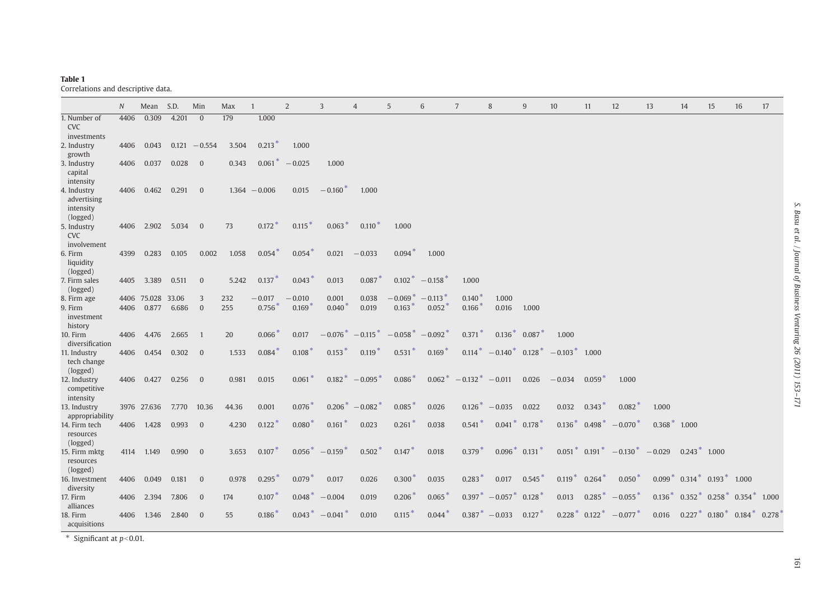## Correlations and descriptive data.

<span id="page-8-0"></span>Table 1

 $\overline{\phantom{0}}$ 

|                                                     | N    | Mean              | S.D.  | Min             | Max   |                      | 2                    | 3                     | 4                               | 5                         | 6                     | 7                    | 8                     | 9                    | 10                                                                     | 11                   | 12                                      | 13            | 14                              | 15 | 16 | 17                   |
|-----------------------------------------------------|------|-------------------|-------|-----------------|-------|----------------------|----------------------|-----------------------|---------------------------------|---------------------------|-----------------------|----------------------|-----------------------|----------------------|------------------------------------------------------------------------|----------------------|-----------------------------------------|---------------|---------------------------------|----|----|----------------------|
| 1. Number of<br><b>CVC</b>                          | 4406 | 0.309             | 4.201 | $\overline{0}$  | 179   | 1.000                |                      |                       |                                 |                           |                       |                      |                       |                      |                                                                        |                      |                                         |               |                                 |    |    |                      |
| investments                                         |      |                   |       |                 |       |                      |                      |                       |                                 |                           |                       |                      |                       |                      |                                                                        |                      |                                         |               |                                 |    |    |                      |
| 2. Industry<br>growth                               | 4406 | 0.043             |       | $0.121 - 0.554$ | 3.504 | $0.213*$             | 1.000                |                       |                                 |                           |                       |                      |                       |                      |                                                                        |                      |                                         |               |                                 |    |    |                      |
| 3. Industry<br>capital<br>intensity                 |      | 4406 0.037        | 0.028 | $\overline{0}$  | 0.343 | $0.061^* - 0.025$    |                      | 1.000                 |                                 |                           |                       |                      |                       |                      |                                                                        |                      |                                         |               |                                 |    |    |                      |
| 4. Industry<br>advertising<br>intensity<br>(logged) | 4406 | 0.462             | 0.291 | $\overline{0}$  |       | $1.364 - 0.006$      | 0.015                | $-0.160$ <sup>3</sup> | 1.000                           |                           |                       |                      |                       |                      |                                                                        |                      |                                         |               |                                 |    |    |                      |
| 5. Industry<br><b>CVC</b><br>involvement            |      | 4406 2.902 5.034  |       | $\overline{0}$  | 73    | 0.172                | $0.115$ <sup>3</sup> | 0.063                 | $0.110$ <sup>3</sup>            | 1.000                     |                       |                      |                       |                      |                                                                        |                      |                                         |               |                                 |    |    |                      |
| 6. Firm<br>liquidity<br>(logged)                    | 4399 | 0.283             | 0.105 | 0.002           | 1.058 | $0.054$ <sup>*</sup> | $0.054$ <sup>*</sup> | 0.021                 | $-0.033$                        | 0.094                     | 1.000                 |                      |                       |                      |                                                                        |                      |                                         |               |                                 |    |    |                      |
| 7. Firm sales<br>(logged)                           | 4405 | 3.389             | 0.511 | $\overline{0}$  | 5.242 | 0.137                | 0.043                | 0.013                 | 0.087                           | $0.102$ <sup>*</sup>      | $-0.158$ <sup>*</sup> | 1.000                |                       |                      |                                                                        |                      |                                         |               |                                 |    |    |                      |
| 8. Firm age                                         |      | 4406 75.028 33.06 |       | 3               | 232   | $-0.017$             | $-0.010$             | 0.001                 | 0.038                           | $-0.069$ $*$ $-0.113$     |                       | 0.140                | 1.000                 |                      |                                                                        |                      |                                         |               |                                 |    |    |                      |
| 9. Firm<br>investment<br>history                    | 4406 | 0.877             | 6.686 | $\overline{0}$  | 255   | $0.756$ <sup>*</sup> | $0.169*$             | 0.040                 | 0.019                           | $0.163$ <sup>*</sup>      | $0.052*$              | $0.166$ <sup>*</sup> | 0.016                 | 1.000                |                                                                        |                      |                                         |               |                                 |    |    |                      |
| 10. Firm<br>diversification                         | 4406 | 4.476             | 2.665 | $\overline{1}$  | 20    | 0.066                | 0.017                | $-0.076*$             | $-0.115*$                       | $-0.058$ $*$ $-0.092$ $*$ |                       | $0.371*$             | $0.136*0.087$         |                      | 1.000                                                                  |                      |                                         |               |                                 |    |    |                      |
| 11. Industry<br>tech change<br>(logged)             |      | 4406 0.454        | 0.302 | $\overline{0}$  | 1.533 | 0.084                | $0.108$ <sup>*</sup> | $0.153$ <sup>*</sup>  | $0.119*$                        | $0.531*$                  | $0.169*$              |                      |                       |                      | $0.114^*$ - 0.140 <sup>*</sup> 0.128 <sup>*</sup> - 0.103 <sup>*</sup> | 1.000                |                                         |               |                                 |    |    |                      |
| 12. Industry<br>competitive<br>intensity            |      | 4406 0.427        | 0.256 | $\overline{0}$  | 0.981 | 0.015                | 0.061                |                       | $0.182* -0.095*$                | $0.086$ <sup>*</sup>      | $0.062*$              | $-0.132$ * $-0.011$  |                       | 0.026                | $-0.034$                                                               | $0.059$ <sup>*</sup> | 1.000                                   |               |                                 |    |    |                      |
| 13. Industry<br>appropriability                     |      | 3976 27.636       | 7.770 | 10.36           | 44.36 | 0.001                | 0.076                |                       | $0.206^* - 0.082^{\frac{1}{3}}$ | 0.085                     | 0.026                 | $0.126*$             | $-0.035$              | 0.022                | 0.032                                                                  | 0.343'               | $0.082$ <sup>3</sup>                    | 1.000         |                                 |    |    |                      |
| 14. Firm tech<br>resources<br>(logged)              |      | 4406 1.428        | 0.993 | $\mathbf{0}$    | 4.230 | $0.122$ <sup>*</sup> | 0.080                | 0.161                 | 0.023                           | 0.261                     | 0.038                 | 0.541                | $0.041$ $*$ 0.178 $*$ |                      | $0.136*$                                                               | $0.498*$             | $-0.070$ <sup>*</sup>                   | $0.368*1.000$ |                                 |    |    |                      |
| 15. Firm mktg<br>resources<br>(logged)              |      | 4114 1.149        | 0.990 | $\overline{0}$  | 3.653 | $0.107*$             | $0.056*$             | $-0.159*$             | $0.502*$                        | $0.147*$                  | 0.018                 | 0.379'               | $0.096*0.131*$        |                      |                                                                        |                      | $0.051^*$ $0.191^*$ $-0.130^*$ $-0.029$ |               | $0.243*1.000$                   |    |    |                      |
| 16. Investment<br>diversity                         | 4406 | 0.049             | 0.181 | $\overline{0}$  | 0.978 | 0.295                | $0.079$ <sup>3</sup> | 0.017                 | 0.026                           | 0.300                     | 0.035                 | 0.283                | 0.017                 | 0.545                | $0.119*$                                                               | $0.264$ <sup>*</sup> | $0.050*$                                |               | $0.099*0.314*0.193*1.000$       |    |    |                      |
| 17. Firm<br>alliances                               |      | 4406 2.394        | 7.806 | $\overline{0}$  | 174   | $0.107*$             | $0.048*$             | $-0.004$              | 0.019                           | $0.206$ <sup>*</sup>      | 0.065                 | $0.397*$             | $-0.057*$             | $0.128$ <sup>*</sup> | 0.013                                                                  | $0.285*$             | $-0.055$ <sup>*</sup>                   |               | $0.136*0.352*0.258*0.354*1.000$ |    |    |                      |
| 18. Firm<br>acquisitions                            | 4406 | 1.346             | 2.840 | $\overline{0}$  | 55    | $0.186$ <sup>*</sup> |                      | $0.043* -0.041$       | 0.010                           | $0.115$ <sup>*</sup>      | 0.044                 |                      | $0.387* -0.033$       | $0.127*$             |                                                                        |                      | $0.228*0.122* -0.077*$                  | 0.016         | $0.227*0.180*0.184*$            |    |    | $0.278$ <sup>*</sup> |

 $*$  Significant at  $p<0.01$ .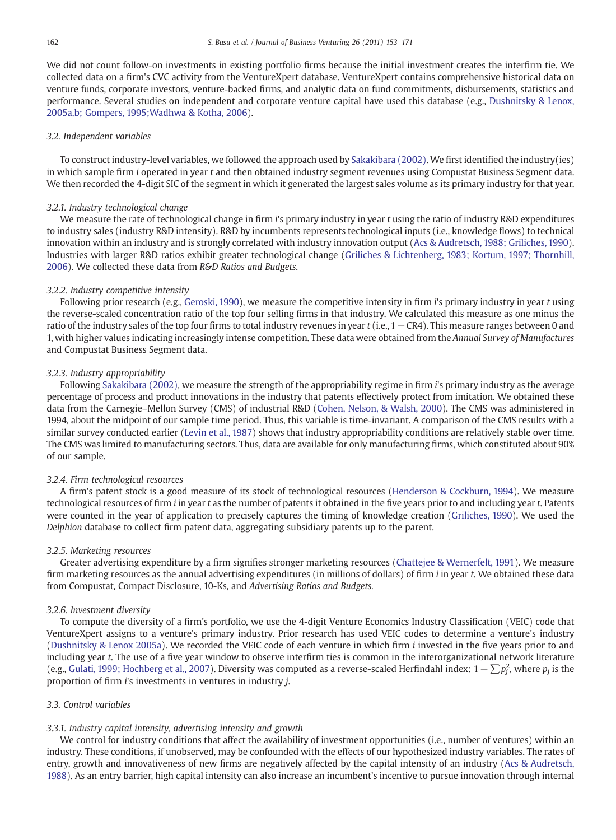We did not count follow-on investments in existing portfolio firms because the initial investment creates the interfirm tie. We collected data on a firm's CVC activity from the VentureXpert database. VentureXpert contains comprehensive historical data on venture funds, corporate investors, venture-backed firms, and analytic data on fund commitments, disbursements, statistics and performance. Several studies on independent and corporate venture capital have used this database (e.g., [Dushnitsky & Lenox,](#page-17-0) [2005a,b; Gompers, 1995;Wadhwa & Kotha, 2006](#page-17-0)).

#### 3.2. Independent variables

To construct industry-level variables, we followed the approach used by [Sakakibara \(2002\).](#page-18-0) We first identified the industry(ies) in which sample firm *i* operated in year t and then obtained industry segment revenues using Compustat Business Segment data. We then recorded the 4-digit SIC of the segment in which it generated the largest sales volume as its primary industry for that year.

#### 3.2.1. Industry technological change

We measure the rate of technological change in firm  $i$ 's primary industry in year  $t$  using the ratio of industry R&D expenditures to industry sales (industry R&D intensity). R&D by incumbents represents technological inputs (i.e., knowledge flows) to technical innovation within an industry and is strongly correlated with industry innovation output ([Acs & Audretsch, 1988; Griliches, 1990](#page-16-0)). Industries with larger R&D ratios exhibit greater technological change ([Griliches & Lichtenberg, 1983; Kortum, 1997; Thornhill,](#page-17-0) [2006\)](#page-17-0). We collected these data from R&D Ratios and Budgets.

#### 3.2.2. Industry competitive intensity

Following prior research (e.g., [Geroski, 1990](#page-17-0)), we measure the competitive intensity in firm i's primary industry in year t using the reverse-scaled concentration ratio of the top four selling firms in that industry. We calculated this measure as one minus the ratio of the industry sales of the top four firms to total industry revenues in year t (i.e., 1 – CR4). This measure ranges between 0 and 1, with higher values indicating increasingly intense competition. These data were obtained from the Annual Survey of Manufactures and Compustat Business Segment data.

#### 3.2.3. Industry appropriability

Following [Sakakibara \(2002\)](#page-18-0), we measure the strength of the appropriability regime in firm i's primary industry as the average percentage of process and product innovations in the industry that patents effectively protect from imitation. We obtained these data from the Carnegie–Mellon Survey (CMS) of industrial R&D [\(Cohen, Nelson, & Walsh, 2000\)](#page-16-0). The CMS was administered in 1994, about the midpoint of our sample time period. Thus, this variable is time-invariant. A comparison of the CMS results with a similar survey conducted earlier [\(Levin et al., 1987\)](#page-18-0) shows that industry appropriability conditions are relatively stable over time. The CMS was limited to manufacturing sectors. Thus, data are available for only manufacturing firms, which constituted about 90% of our sample.

#### 3.2.4. Firm technological resources

A firm's patent stock is a good measure of its stock of technological resources ([Henderson & Cockburn, 1994\)](#page-17-0). We measure technological resources of firm i in year t as the number of patents it obtained in the five years prior to and including year t. Patents were counted in the year of application to precisely captures the timing of knowledge creation ([Griliches, 1990\)](#page-17-0). We used the Delphion database to collect firm patent data, aggregating subsidiary patents up to the parent.

#### 3.2.5. Marketing resources

Greater advertising expenditure by a firm signifies stronger marketing resources [\(Chattejee & Wernerfelt, 1991\)](#page-16-0). We measure firm marketing resources as the annual advertising expenditures (in millions of dollars) of firm *i* in year *t*. We obtained these data from Compustat, Compact Disclosure, 10-Ks, and Advertising Ratios and Budgets.

#### 3.2.6. Investment diversity

To compute the diversity of a firm's portfolio, we use the 4-digit Venture Economics Industry Classification (VEIC) code that VentureXpert assigns to a venture's primary industry. Prior research has used VEIC codes to determine a venture's industry ([Dushnitsky & Lenox 2005a\)](#page-17-0). We recorded the VEIC code of each venture in which firm i invested in the five years prior to and including year t. The use of a five year window to observe interfirm ties is common in the interorganizational network literature (e.g., [Gulati, 1999; Hochberg et al., 2007](#page-17-0)). Diversity was computed as a reverse-scaled Herfindahl index: 1 –  $\sum p_j^2$ , where  $p_j$  is the proportion of firm i's investments in ventures in industry j.

#### 3.3. Control variables

#### 3.3.1. Industry capital intensity, advertising intensity and growth

We control for industry conditions that affect the availability of investment opportunities (i.e., number of ventures) within an industry. These conditions, if unobserved, may be confounded with the effects of our hypothesized industry variables. The rates of entry, growth and innovativeness of new firms are negatively affected by the capital intensity of an industry ([Acs & Audretsch,](#page-16-0) [1988\)](#page-16-0). As an entry barrier, high capital intensity can also increase an incumbent's incentive to pursue innovation through internal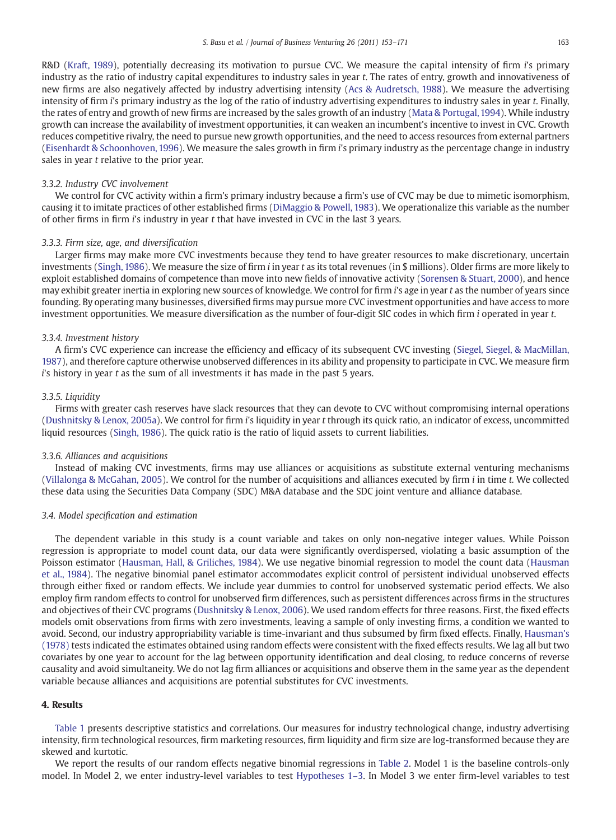R&D ([Kraft, 1989\)](#page-17-0), potentially decreasing its motivation to pursue CVC. We measure the capital intensity of firm i's primary industry as the ratio of industry capital expenditures to industry sales in year t. The rates of entry, growth and innovativeness of new firms are also negatively affected by industry advertising intensity ([Acs & Audretsch, 1988](#page-16-0)). We measure the advertising intensity of firm i's primary industry as the log of the ratio of industry advertising expenditures to industry sales in year t. Finally, the rates of entry and growth of new firms are increased by the sales growth of an industry ([Mata & Portugal, 1994](#page-18-0)). While industry growth can increase the availability of investment opportunities, it can weaken an incumbent's incentive to invest in CVC. Growth reduces competitive rivalry, the need to pursue new growth opportunities, and the need to access resources from external partners [\(Eisenhardt & Schoonhoven, 1996\)](#page-17-0). We measure the sales growth in firm i's primary industry as the percentage change in industry sales in year  $t$  relative to the prior year.

#### 3.3.2. Industry CVC involvement

We control for CVC activity within a firm's primary industry because a firm's use of CVC may be due to mimetic isomorphism, causing it to imitate practices of other established firms [\(DiMaggio & Powell, 1983\)](#page-16-0). We operationalize this variable as the number of other firms in firm  $i$ 's industry in year  $t$  that have invested in CVC in the last 3 years.

#### 3.3.3. Firm size, age, and diversification

Larger firms may make more CVC investments because they tend to have greater resources to make discretionary, uncertain investments ([Singh, 1986\)](#page-18-0). We measure the size of firm  $i$  in year  $t$  as its total revenues (in  $\frac{1}{2}$  millions). Older firms are more likely to exploit established domains of competence than move into new fields of innovative activity ([Sorensen & Stuart, 2000\)](#page-18-0), and hence may exhibit greater inertia in exploring new sources of knowledge. We control for firm i's age in year t as the number of years since founding. By operating many businesses, diversified firms may pursue more CVC investment opportunities and have access to more investment opportunities. We measure diversification as the number of four-digit SIC codes in which firm i operated in year t.

#### 3.3.4. Investment history

A firm's CVC experience can increase the efficiency and efficacy of its subsequent CVC investing ([Siegel, Siegel, & MacMillan,](#page-18-0) [1987\)](#page-18-0), and therefore capture otherwise unobserved differences in its ability and propensity to participate in CVC. We measure firm  $i$ 's history in year  $t$  as the sum of all investments it has made in the past 5 years.

#### 3.3.5. Liquidity

Firms with greater cash reserves have slack resources that they can devote to CVC without compromising internal operations [\(Dushnitsky & Lenox, 2005a](#page-17-0)). We control for firm i's liquidity in year t through its quick ratio, an indicator of excess, uncommitted liquid resources ([Singh, 1986](#page-18-0)). The quick ratio is the ratio of liquid assets to current liabilities.

#### 3.3.6. Alliances and acquisitions

Instead of making CVC investments, firms may use alliances or acquisitions as substitute external venturing mechanisms [\(Villalonga & McGahan, 2005](#page-18-0)). We control for the number of acquisitions and alliances executed by firm  $i$  in time  $t$ . We collected these data using the Securities Data Company (SDC) M&A database and the SDC joint venture and alliance database.

#### 3.4. Model specification and estimation

The dependent variable in this study is a count variable and takes on only non-negative integer values. While Poisson regression is appropriate to model count data, our data were significantly overdispersed, violating a basic assumption of the Poisson estimator ([Hausman, Hall, & Griliches, 1984](#page-17-0)). We use negative binomial regression to model the count data ([Hausman](#page-17-0) [et al., 1984\)](#page-17-0). The negative binomial panel estimator accommodates explicit control of persistent individual unobserved effects through either fixed or random effects. We include year dummies to control for unobserved systematic period effects. We also employ firm random effects to control for unobserved firm differences, such as persistent differences across firms in the structures and objectives of their CVC programs [\(Dushnitsky & Lenox, 2006\)](#page-17-0). We used random effects for three reasons. First, the fixed effects models omit observations from firms with zero investments, leaving a sample of only investing firms, a condition we wanted to avoid. Second, our industry appropriability variable is time-invariant and thus subsumed by firm fixed effects. Finally, [Hausman's](#page-17-0) [\(1978\)](#page-17-0) tests indicated the estimates obtained using random effects were consistent with the fixed effects results. We lag all but two covariates by one year to account for the lag between opportunity identification and deal closing, to reduce concerns of reverse causality and avoid simultaneity. We do not lag firm alliances or acquisitions and observe them in the same year as the dependent variable because alliances and acquisitions are potential substitutes for CVC investments.

#### 4. Results

[Table 1](#page-8-0) presents descriptive statistics and correlations. Our measures for industry technological change, industry advertising intensity, firm technological resources, firm marketing resources, firm liquidity and firm size are log-transformed because they are skewed and kurtotic.

We report the results of our random effects negative binomial regressions in [Table 2](#page-11-0). Model 1 is the baseline controls-only model. In Model 2, we enter industry-level variables to test [Hypotheses 1](#page-3-0)–3. In Model 3 we enter firm-level variables to test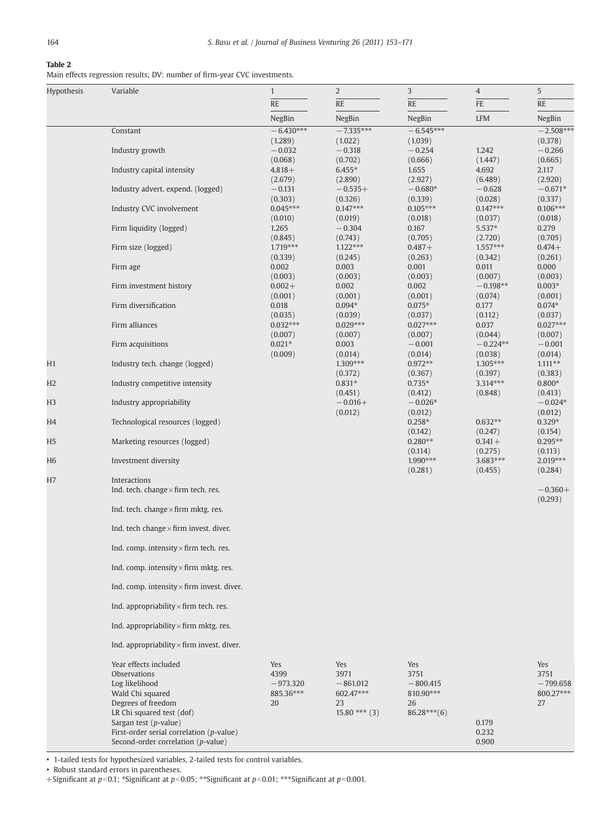#### <span id="page-11-0"></span>Table 2

Main effects regression results; DV: number of firm-year CVC investments.

| Hypothesis     | Variable                                                                                                                                                                                                                                  | $\mathbf{1}$                                 | $\overline{c}$                                                  | 3                                                             | $\overline{4}$                   | 5                                            |
|----------------|-------------------------------------------------------------------------------------------------------------------------------------------------------------------------------------------------------------------------------------------|----------------------------------------------|-----------------------------------------------------------------|---------------------------------------------------------------|----------------------------------|----------------------------------------------|
|                |                                                                                                                                                                                                                                           | <b>RE</b>                                    | $\mathsf{RE}$                                                   | $\mathsf{RE}$                                                 | FE                               | <b>RE</b>                                    |
|                |                                                                                                                                                                                                                                           | NegBin                                       | NegBin                                                          | NegBin                                                        | <b>LFM</b>                       | NegBin                                       |
|                | Constant                                                                                                                                                                                                                                  | $-6.430***$                                  | $-7.335***$                                                     | $-6.545***$                                                   |                                  | $-2.508***$                                  |
|                | Industry growth                                                                                                                                                                                                                           | (1.289)<br>$-0.032$                          | (1.022)<br>$-0.318$                                             | (1.039)<br>$-0.254$                                           | 1.242                            | (0.378)<br>$-0.266$                          |
|                | Industry capital intensity                                                                                                                                                                                                                | (0.068)<br>$4.818+$                          | (0.702)<br>$6.455*$                                             | (0.666)<br>1.655                                              | (1.447)<br>4.692                 | (0.665)<br>2.117                             |
|                | Industry advert. expend. (logged)                                                                                                                                                                                                         | (2.679)<br>$-0.131$                          | (2.890)<br>$-0.535+$                                            | (2.927)<br>$-0.680*$                                          | (6.489)<br>$-0.628$              | (2.920)<br>$-0.671*$                         |
|                | Industry CVC involvement                                                                                                                                                                                                                  | (0.303)<br>$0.045***$                        | (0.326)<br>$0.147***$                                           | (0.339)<br>$0.105***$                                         | (0.028)<br>$0.147***$            | (0.337)<br>$0.106***$                        |
|                | Firm liquidity (logged)                                                                                                                                                                                                                   | (0.010)<br>1.265                             | (0.019)<br>$-0.304$                                             | (0.018)<br>0.167                                              | (0.037)<br>5.537*                | (0.018)<br>0.279                             |
|                | Firm size (logged)                                                                                                                                                                                                                        | (0.845)<br>1.719 ***<br>(0.339)              | (0.743)<br>$1.122***$<br>(0.245)                                | (0.705)<br>$0.487 +$<br>(0.263)                               | (2.720)<br>$1.557***$<br>(0.342) | (0.705)<br>$0.474 +$<br>(0.261)              |
|                | Firm age                                                                                                                                                                                                                                  | 0.002                                        | 0.003                                                           | 0.001                                                         | 0.011                            | 0.000                                        |
|                | Firm investment history                                                                                                                                                                                                                   | (0.003)<br>$0.002 +$<br>(0.001)              | (0.003)<br>0.002<br>(0.001)                                     | (0.003)<br>0.002<br>(0.001)                                   | (0.007)<br>$-0.198**$<br>(0.074) | (0.003)<br>$0.003*$<br>(0.001)               |
|                | Firm diversification                                                                                                                                                                                                                      | 0.018<br>(0.035)                             | $0.094*$<br>(0.039)                                             | $0.075*$<br>(0.037)                                           | 0.177<br>(0.112)                 | $0.074*$<br>(0.037)                          |
|                | Firm alliances                                                                                                                                                                                                                            | $0.032***$<br>(0.007)                        | $0.029***$<br>(0.007)                                           | $0.027***$<br>(0.007)                                         | 0.037<br>(0.044)                 | $0.027***$<br>(0.007)                        |
|                | Firm acquisitions                                                                                                                                                                                                                         | $0.021*$<br>(0.009)                          | 0.003<br>(0.014)                                                | $-0.001$<br>(0.014)                                           | $-0.224**$<br>(0.038)            | $-0.001$<br>(0.014)                          |
| H1             | Industry tech. change (logged)                                                                                                                                                                                                            |                                              | 1.309***<br>(0.372)                                             | $0.972**$<br>(0.367)                                          | $1.305***$<br>(0.397)            | $1.111**$<br>(0.383)                         |
| H <sub>2</sub> | Industry competitive intensity                                                                                                                                                                                                            |                                              | $0.831*$<br>(0.451)                                             | $0.735*$<br>(0.412)                                           | $3.314***$<br>(0.848)            | $0.800*$<br>(0.413)                          |
| H3             | Industry appropriability                                                                                                                                                                                                                  |                                              | $-0.016+$<br>(0.012)                                            | $-0.026*$<br>(0.012)                                          |                                  | $-0.024*$<br>(0.012)                         |
| H4             | Technological resources (logged)                                                                                                                                                                                                          |                                              |                                                                 | $0.258*$<br>(0.142)                                           | $0.632**$<br>(0.247)             | $0.329*$<br>(0.154)                          |
| H5             | Marketing resources (logged)                                                                                                                                                                                                              |                                              |                                                                 | $0.280**$<br>(0.114)                                          | $0.341 +$<br>(0.275)             | $0.295**$<br>(0.113)                         |
| Η6             | Investment diversity                                                                                                                                                                                                                      |                                              |                                                                 | 1.990***<br>(0.281)                                           | 3.683***<br>(0.455)              | $2.019***$<br>(0.284)                        |
| H7             | Interactions<br>Ind. tech. change $\times$ firm tech. res.                                                                                                                                                                                |                                              |                                                                 |                                                               |                                  | $-0.360+$<br>(0.293)                         |
|                | Ind. tech. change $\times$ firm mktg. res.                                                                                                                                                                                                |                                              |                                                                 |                                                               |                                  |                                              |
|                | Ind. tech change $\times$ firm invest. diver.                                                                                                                                                                                             |                                              |                                                                 |                                                               |                                  |                                              |
|                | Ind. comp. intensity $\times$ firm tech. res.                                                                                                                                                                                             |                                              |                                                                 |                                                               |                                  |                                              |
|                | Ind. comp. intensity $\times$ firm mktg. res.                                                                                                                                                                                             |                                              |                                                                 |                                                               |                                  |                                              |
|                | Ind. comp. intensity $\times$ firm invest. diver.                                                                                                                                                                                         |                                              |                                                                 |                                                               |                                  |                                              |
|                | Ind. appropriability $\times$ firm tech. res.                                                                                                                                                                                             |                                              |                                                                 |                                                               |                                  |                                              |
|                | Ind. appropriability $\times$ firm mktg. res.                                                                                                                                                                                             |                                              |                                                                 |                                                               |                                  |                                              |
|                | Ind. appropriability $\times$ firm invest. diver.                                                                                                                                                                                         |                                              |                                                                 |                                                               |                                  |                                              |
|                | Year effects included<br>Observations<br>Log likelihood<br>Wald Chi squared<br>Degrees of freedom<br>LR Chi squared test (dof)<br>Sargan test (p-value)<br>First-order serial correlation (p-value)<br>Second-order correlation (p-value) | Yes<br>4399<br>$-973.320$<br>885.36***<br>20 | Yes<br>3971<br>$-861.012$<br>602.47***<br>23<br>$15.80$ *** (3) | Yes<br>3751<br>$-800.415$<br>810.90***<br>26<br>$86.28***(6)$ | 0.179<br>0.232<br>0.900          | Yes<br>3751<br>$-799.658$<br>800.27***<br>27 |

• 1-tailed tests for hypothesized variables, 2-tailed tests for control variables.

• Robust standard errors in parentheses.

+Significant at  $p<0.1$ ; \*Significant at  $p<0.05$ ; \*\*Significant at  $p<0.01$ ; \*\*\*Significant at  $p<0.001$ .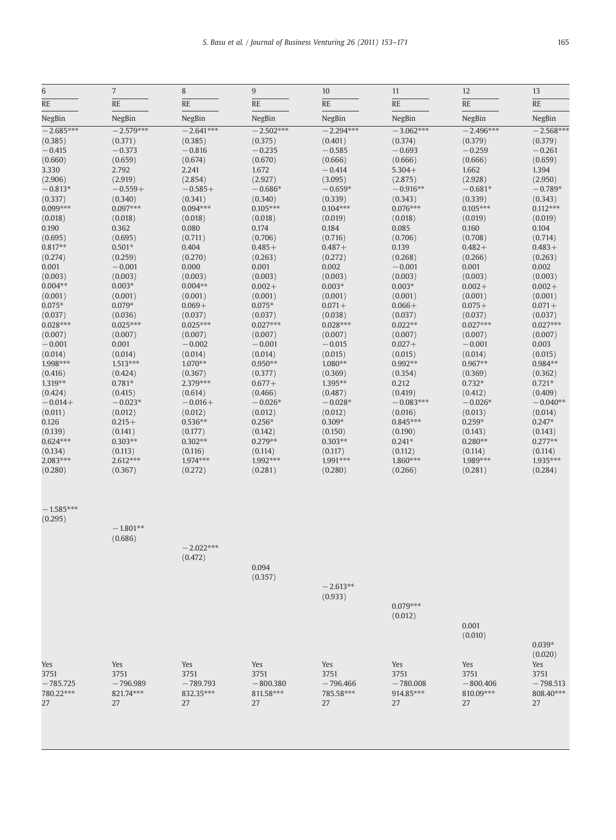| 6                     | $\overline{7}$        | 8                     | 9                     | 10                    | 11                    | 12                    | 13                    |
|-----------------------|-----------------------|-----------------------|-----------------------|-----------------------|-----------------------|-----------------------|-----------------------|
| RE                    | RE                    | RE                    | RE                    | RE                    | RE                    | $\mathsf{RE}$         | RE                    |
| NegBin                | NegBin                | NegBin                | NegBin                | NegBin                | NegBin                | NegBin                | NegBin                |
| $-2.685***$           | $-2.579***$           | $-2.641***$           | $-2.502***$           | $-2.294***$           | $-3.062***$           | $-2.496***$           | $-2.568***$           |
| (0.385)               | (0.371)               | (0.385)               | (0.375)               | (0.401)               | (0.374)               | (0.379)               | (0.379)               |
| $-0.415$              | $-0.373$              | $-0.816$              | $-0.235$              | $-0.585$              | $-0.693$              | $-0.259$              | $-0.261$              |
| (0.660)               | (0.659)               | (0.674)               | (0.670)               | (0.666)               | (0.666)               | (0.666)               | (0.659)               |
| 3.330                 | 2.792                 | 2.241                 | 1.672                 | $-0.414$              | $5.304+$              | 1.662                 | 1.394                 |
| (2.906)               | (2.919)               | (2.854)               | (2.927)               | (3.095)               | (2.875)               | (2.928)               | (2.950)               |
| $-0.813*$<br>(0.337)  | $-0.559+$<br>(0.340)  | $-0.585+$<br>(0.341)  | $-0.686*$<br>(0.340)  | $-0.659*$<br>(0.339)  | $-0.916**$<br>(0.343) | $-0.681*$<br>(0.339)  | $-0.789*$<br>(0.343)  |
| $0.099***$            | $0.097***$            | $0.094***$            | $0.105***$            | $0.104***$            | $0.076***$            | $0.105***$            | $0.112***$            |
| (0.018)               | (0.018)               | (0.018)               | (0.018)               | (0.019)               | (0.018)               | (0.019)               | (0.019)               |
| 0.190                 | 0.362                 | 0.080                 | 0.174                 | 0.184                 | 0.085                 | 0.160                 | 0.104                 |
| (0.695)               | (0.695)               | (0.711)               | (0.706)               | (0.716)               | (0.706)               | (0.708)               | (0.714)               |
| $0.817**$             | $0.501*$              | 0.404                 | $0.485+$              | $0.487 +$             | 0.139                 | $0.482 +$             | $0.483 +$             |
| (0.274)               | (0.259)               | (0.270)               | (0.263)               | (0.272)               | (0.268)               | (0.266)               | (0.263)               |
| 0.001                 | $-0.001$              | 0.000                 | 0.001                 | 0.002                 | $-0.001$              | 0.001                 | 0.002                 |
| (0.003)               | (0.003)               | (0.003)               | (0.003)               | (0.003)               | (0.003)               | (0.003)               | (0.003)               |
| $0.004**$             | $0.003*$              | $0.004**$             | $0.002 +$             | $0.003*$              | $0.003*$              | $0.002 +$             | $0.002 +$             |
| (0.001)               | (0.001)               | (0.001)               | (0.001)               | (0.001)               | (0.001)               | (0.001)               | (0.001)               |
| $0.075*$              | $0.079*$              | $0.069+$              | $0.075*$              | $0.071 +$             | $0.066 +$             | $0.075+$              | $0.071 +$             |
| (0.037)               | (0.036)               | (0.037)               | (0.037)               | (0.038)               | (0.037)               | (0.037)               | (0.037)               |
| $0.028***$<br>(0.007) | $0.025***$<br>(0.007) | $0.025***$<br>(0.007) | $0.027***$<br>(0.007) | $0.028***$<br>(0.007) | $0.022**$<br>(0.007)  | $0.027***$<br>(0.007) | $0.027***$<br>(0.007) |
| $-0.001$              | 0.001                 | $-0.002$              | $-0.001$              | $-0.015$              | $0.027 +$             | $-0.001$              | 0.003                 |
| (0.014)               | (0.014)               | (0.014)               | (0.014)               | (0.015)               | (0.015)               | (0.014)               | (0.015)               |
| 1.998 ***             | $1.513***$            | $1.070**$             | $0.950**$             | 1.080**               | 0.992**               | 0.967**               | 0.984**               |
| (0.416)               | (0.424)               | (0.367)               | (0.377)               | (0.369)               | (0.354)               | (0.369)               | (0.362)               |
| 1.319**               | $0.781*$              | 2.379***              | $0.677+$              | 1.395**               | 0.212                 | $0.732*$              | $0.721*$              |
| (0.424)               | (0.415)               | (0.614)               | (0.466)               | (0.487)               | (0.419)               | (0.412)               | (0.409)               |
| $-0.014+$             | $-0.023*$             | $-0.016+$             | $-0.026*$             | $-0.028*$             | $-0.083***$           | $-0.026*$             | $-0.040**$            |
| (0.011)               | (0.012)               | (0.012)               | (0.012)               | (0.012)               | (0.016)               | (0.013)               | (0.014)               |
| 0.126                 | $0.215+$              | $0.536**$             | $0.256*$              | $0.309*$              | $0.845***$            | $0.259*$              | $0.247*$              |
| (0.139)               | (0.141)               | (0.177)               | (0.142)               | (0.150)               | (0.190)               | (0.143)               | (0.143)               |
| $0.624***$            | $0.303**$             | $0.302**$             | $0.279**$             | $0.303**$             | $0.241*$              | $0.280**$             | $0.277**$             |
| (0.134)<br>2.083***   | (0.113)<br>$2.612***$ | (0.116)<br>1.974 ***  | (0.114)<br>1.992 ***  | (0.117)<br>1.991 ***  | (0.112)<br>1.860***   | (0.114)<br>1.989***   | (0.114)<br>1.935***   |
| (0.280)               | (0.367)               | (0.272)               | (0.281)               | (0.280)               | (0.266)               | (0.281)               | (0.284)               |
|                       |                       |                       |                       |                       |                       |                       |                       |
| $-1.585***$           |                       |                       |                       |                       |                       |                       |                       |
| (0.295)               |                       |                       |                       |                       |                       |                       |                       |
|                       | $-1.801**$            |                       |                       |                       |                       |                       |                       |
|                       | (0.686)               | $-2.022***$           |                       |                       |                       |                       |                       |
|                       |                       | (0.472)               |                       |                       |                       |                       |                       |
|                       |                       |                       | 0.094                 |                       |                       |                       |                       |
|                       |                       |                       | (0.357)               |                       |                       |                       |                       |
|                       |                       |                       |                       | $-2.613**$            |                       |                       |                       |
|                       |                       |                       |                       | (0.933)               |                       |                       |                       |
|                       |                       |                       |                       |                       | $0.079***$            |                       |                       |
|                       |                       |                       |                       |                       | (0.012)               |                       |                       |
|                       |                       |                       |                       |                       |                       | 0.001                 |                       |
|                       |                       |                       |                       |                       |                       | (0.010)               |                       |
|                       |                       |                       |                       |                       |                       |                       | $0.039*$              |
|                       |                       |                       |                       |                       |                       |                       | (0.020)               |
| Yes                   | Yes                   | Yes                   | Yes                   | Yes                   | Yes                   | Yes                   | Yes                   |
| 3751<br>$-785.725$    | 3751<br>$-796.989$    | 3751<br>$-789.793$    | 3751<br>$-800.380$    | 3751<br>$-796,466$    | 3751<br>$-780,008$    | 3751<br>$-800,406$    | 3751<br>$-798.513$    |
| 780.22***             | 821.74***             | 832.35***             | 811.58***             | 785.58***             | 914.85***             | 810.09***             | 808.40***             |
| 27                    | 27                    | 27                    | 27                    | 27                    | 27                    | 27                    | 27                    |
|                       |                       |                       |                       |                       |                       |                       |                       |
|                       |                       |                       |                       |                       |                       |                       |                       |
|                       |                       |                       |                       |                       |                       |                       |                       |

 $27.7$  27  $27.7$  27  $27.7$  27  $27.7$  27  $27.7$  27  $27.7$  27  $27.7$  27  $27.7$  27  $27.7$  27  $27.7$  27  $27.7$  27  $27.7$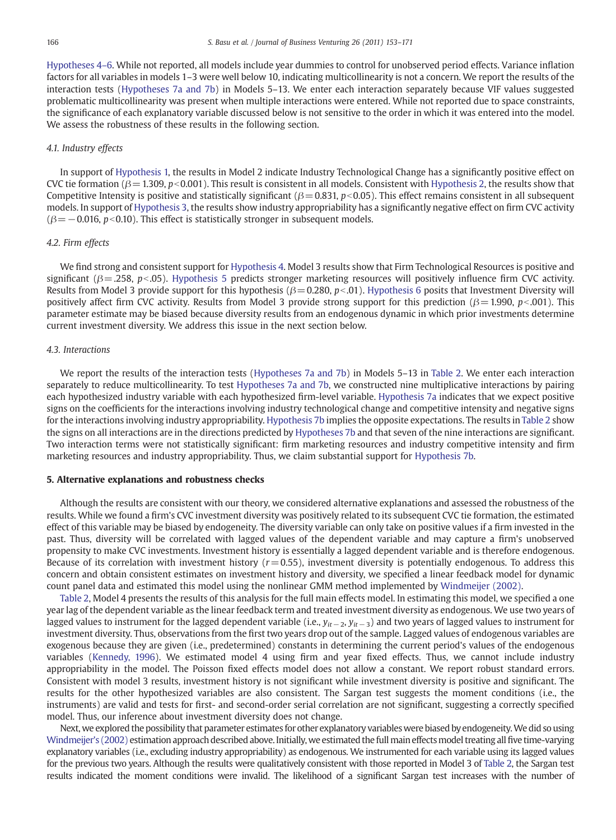[Hypotheses 4](#page-4-0)–6. While not reported, all models include year dummies to control for unobserved period effects. Variance inflation factors for all variables in models 1–3 were well below 10, indicating multicollinearity is not a concern. We report the results of the interaction tests [\(Hypotheses 7a and 7b](#page-6-0)) in Models 5–13. We enter each interaction separately because VIF values suggested problematic multicollinearity was present when multiple interactions were entered. While not reported due to space constraints, the significance of each explanatory variable discussed below is not sensitive to the order in which it was entered into the model. We assess the robustness of these results in the following section.

### 4.1. Industry effects

In support of [Hypothesis 1,](#page-3-0) the results in Model 2 indicate Industry Technological Change has a significantly positive effect on CVC tie formation ( $\beta$  = 1.309, p<0.001). This result is consistent in all models. Consistent with [Hypothesis 2,](#page-3-0) the results show that Competitive Intensity is positive and statistically significant ( $\beta$  = 0.831, p < 0.05). This effect remains consistent in all subsequent models. In support of [Hypothesis 3](#page-3-0), the results show industry appropriability has a significantly negative effect on firm CVC activity  $(\beta = -0.016, p<0.10)$ . This effect is statistically stronger in subsequent models.

#### 4.2. Firm effects

We find strong and consistent support for [Hypothesis 4.](#page-4-0) Model 3 results show that Firm Technological Resources is positive and significant ( $\beta$  = .258, p < .05). [Hypothesis 5](#page-4-0) predicts stronger marketing resources will positively influence firm CVC activity. Results from Model 3 provide support for this hypothesis ( $\beta$  = 0.280, p<01). [Hypothesis 6](#page-5-0) posits that Investment Diversity will positively affect firm CVC activity. Results from Model 3 provide strong support for this prediction ( $\beta$ = 1.990, p<.001). This parameter estimate may be biased because diversity results from an endogenous dynamic in which prior investments determine current investment diversity. We address this issue in the next section below.

#### 4.3. Interactions

We report the results of the interaction tests [\(Hypotheses 7a and 7b\)](#page-6-0) in Models 5–13 in [Table 2](#page-11-0). We enter each interaction separately to reduce multicollinearity. To test [Hypotheses 7a and 7b](#page-6-0), we constructed nine multiplicative interactions by pairing each hypothesized industry variable with each hypothesized firm-level variable. [Hypothesis 7a](#page-6-0) indicates that we expect positive signs on the coefficients for the interactions involving industry technological change and competitive intensity and negative signs for the interactions involving industry appropriability. [Hypothesis 7b](#page-7-0) implies the opposite expectations. The results in [Table 2](#page-11-0) show the signs on all interactions are in the directions predicted by [Hypotheses 7b](#page-7-0) and that seven of the nine interactions are significant. Two interaction terms were not statistically significant: firm marketing resources and industry competitive intensity and firm marketing resources and industry appropriability. Thus, we claim substantial support for [Hypothesis 7b.](#page-7-0)

#### 5. Alternative explanations and robustness checks

Although the results are consistent with our theory, we considered alternative explanations and assessed the robustness of the results. While we found a firm's CVC investment diversity was positively related to its subsequent CVC tie formation, the estimated effect of this variable may be biased by endogeneity. The diversity variable can only take on positive values if a firm invested in the past. Thus, diversity will be correlated with lagged values of the dependent variable and may capture a firm's unobserved propensity to make CVC investments. Investment history is essentially a lagged dependent variable and is therefore endogenous. Because of its correlation with investment history  $(r=0.55)$ , investment diversity is potentially endogenous. To address this concern and obtain consistent estimates on investment history and diversity, we specified a linear feedback model for dynamic count panel data and estimated this model using the nonlinear GMM method implemented by [Windmeijer \(2002\).](#page-18-0)

[Table 2,](#page-11-0) Model 4 presents the results of this analysis for the full main effects model. In estimating this model, we specified a one year lag of the dependent variable as the linear feedback term and treated investment diversity as endogenous. We use two years of lagged values to instrument for the lagged dependent variable (i.e.,  $y_{it-2}$ ,  $y_{it-3}$ ) and two years of lagged values to instrument for investment diversity. Thus, observations from the first two years drop out of the sample. Lagged values of endogenous variables are exogenous because they are given (i.e., predetermined) constants in determining the current period's values of the endogenous variables ([Kennedy, 1996\)](#page-17-0). We estimated model 4 using firm and year fixed effects. Thus, we cannot include industry appropriability in the model. The Poisson fixed effects model does not allow a constant. We report robust standard errors. Consistent with model 3 results, investment history is not significant while investment diversity is positive and significant. The results for the other hypothesized variables are also consistent. The Sargan test suggests the moment conditions (i.e., the instruments) are valid and tests for first- and second-order serial correlation are not significant, suggesting a correctly specified model. Thus, our inference about investment diversity does not change.

Next, we explored the possibility that parameter estimates for other explanatory variables were biased by endogeneity.We did so using [Windmeijer's \(2002\)](#page-18-0) estimation approach described above. Initially, we estimated the full main effects model treating all five time-varying explanatory variables (i.e., excluding industry appropriability) as endogenous. We instrumented for each variable using its lagged values for the previous two years. Although the results were qualitatively consistent with those reported in Model 3 of [Table 2](#page-11-0), the Sargan test results indicated the moment conditions were invalid. The likelihood of a significant Sargan test increases with the number of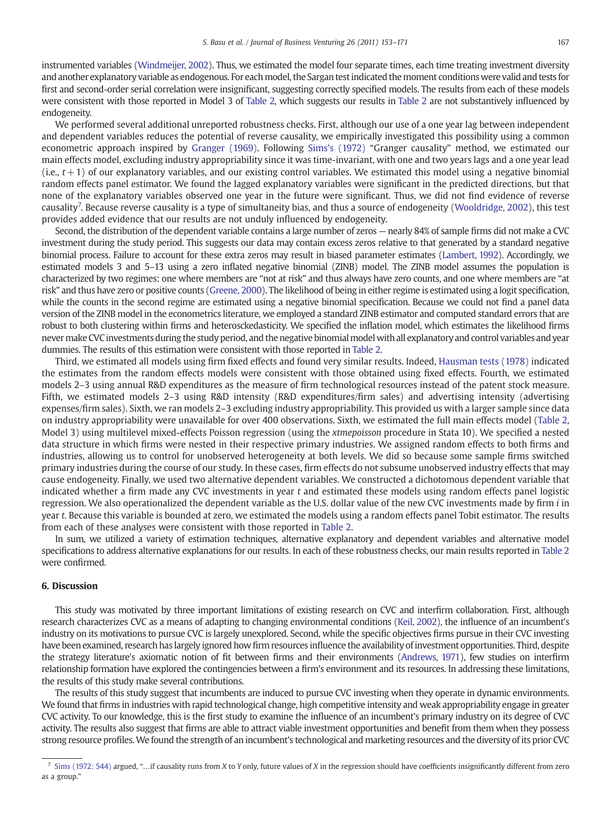instrumented variables ([Windmeijer, 2002](#page-18-0)). Thus, we estimated the model four separate times, each time treating investment diversity and another explanatory variable as endogenous. For each model, the Sargan test indicated the moment conditions were valid and tests for first and second-order serial correlation were insignificant, suggesting correctly specified models. The results from each of these models were consistent with those reported in Model 3 of [Table 2,](#page-11-0) which suggests our results in [Table 2](#page-11-0) are not substantively influenced by endogeneity.

We performed several additional unreported robustness checks. First, although our use of a one year lag between independent and dependent variables reduces the potential of reverse causality, we empirically investigated this possibility using a common econometric approach inspired by [Granger \(1969\)](#page-17-0). Following [Sims's \(1972\)](#page-18-0) "Granger causality" method, we estimated our main effects model, excluding industry appropriability since it was time-invariant, with one and two years lags and a one year lead (i.e.,  $t+1$ ) of our explanatory variables, and our existing control variables. We estimated this model using a negative binomial random effects panel estimator. We found the lagged explanatory variables were significant in the predicted directions, but that none of the explanatory variables observed one year in the future were significant. Thus, we did not find evidence of reverse causality<sup>7</sup>. Because reverse causality is a type of simultaneity bias, and thus a source of endogeneity ([Wooldridge, 2002\)](#page-18-0), this test provides added evidence that our results are not unduly influenced by endogeneity.

Second, the distribution of the dependent variable contains a large number of zeros — nearly 84% of sample firms did not make a CVC investment during the study period. This suggests our data may contain excess zeros relative to that generated by a standard negative binomial process. Failure to account for these extra zeros may result in biased parameter estimates [\(Lambert, 1992](#page-17-0)). Accordingly, we estimated models 3 and 5–13 using a zero inflated negative binomial (ZINB) model. The ZINB model assumes the population is characterized by two regimes: one where members are "not at risk" and thus always have zero counts, and one where members are "at risk" and thus have zero or positive counts [\(Greene, 2000](#page-17-0)). The likelihood of being in either regime is estimated using a logit specification, while the counts in the second regime are estimated using a negative binomial specification. Because we could not find a panel data version of the ZINB model in the econometrics literature, we employed a standard ZINB estimator and computed standard errors that are robust to both clustering within firms and heterosckedasticity. We specified the inflation model, which estimates the likelihood firms nevermake CVC investments during the study period, and the negative binomialmodel with all explanatory and control variables and year dummies. The results of this estimation were consistent with those reported in [Table 2](#page-11-0).

Third, we estimated all models using firm fixed effects and found very similar results. Indeed, [Hausman tests \(1978\)](#page-17-0) indicated the estimates from the random effects models were consistent with those obtained using fixed effects. Fourth, we estimated models 2–3 using annual R&D expenditures as the measure of firm technological resources instead of the patent stock measure. Fifth, we estimated models 2–3 using R&D intensity (R&D expenditures/firm sales) and advertising intensity (advertising expenses/firm sales). Sixth, we ran models 2–3 excluding industry appropriability. This provided us with a larger sample since data on industry appropriability were unavailable for over 400 observations. Sixth, we estimated the full main effects model [\(Table 2](#page-11-0), Model 3) using multilevel mixed-effects Poisson regression (using the xtmepoisson procedure in Stata 10). We specified a nested data structure in which firms were nested in their respective primary industries. We assigned random effects to both firms and industries, allowing us to control for unobserved heterogeneity at both levels. We did so because some sample firms switched primary industries during the course of our study. In these cases, firm effects do not subsume unobserved industry effects that may cause endogeneity. Finally, we used two alternative dependent variables. We constructed a dichotomous dependent variable that indicated whether a firm made any CVC investments in year t and estimated these models using random effects panel logistic regression. We also operationalized the dependent variable as the U.S. dollar value of the new CVC investments made by firm i in year t. Because this variable is bounded at zero, we estimated the models using a random effects panel Tobit estimator. The results from each of these analyses were consistent with those reported in [Table 2](#page-11-0).

In sum, we utilized a variety of estimation techniques, alternative explanatory and dependent variables and alternative model specifications to address alternative explanations for our results. In each of these robustness checks, our main results reported in [Table 2](#page-11-0) were confirmed.

#### 6. Discussion

This study was motivated by three important limitations of existing research on CVC and interfirm collaboration. First, although research characterizes CVC as a means of adapting to changing environmental conditions [\(Keil, 2002\)](#page-17-0), the influence of an incumbent's industry on its motivations to pursue CVC is largely unexplored. Second, while the specific objectives firms pursue in their CVC investing have been examined, research has largely ignored how firm resources influence the availability of investment opportunities. Third, despite the strategy literature's axiomatic notion of fit between firms and their environments ([Andrews, 1971](#page-16-0)), few studies on interfirm relationship formation have explored the contingencies between a firm's environment and its resources. In addressing these limitations, the results of this study make several contributions.

The results of this study suggest that incumbents are induced to pursue CVC investing when they operate in dynamic environments. We found that firms in industries with rapid technological change, high competitive intensity and weak appropriability engage in greater CVC activity. To our knowledge, this is the first study to examine the influence of an incumbent's primary industry on its degree of CVC activity. The results also suggest that firms are able to attract viable investment opportunities and benefit from them when they possess strong resource profiles.We found the strength of an incumbent's technological and marketing resources and the diversity of its prior CVC

 $^7$  [Sims \(1972: 544\)](#page-18-0) argued, "...if causality runs from X to Y only, future values of X in the regression should have coefficients insignificantly different from zero as a group."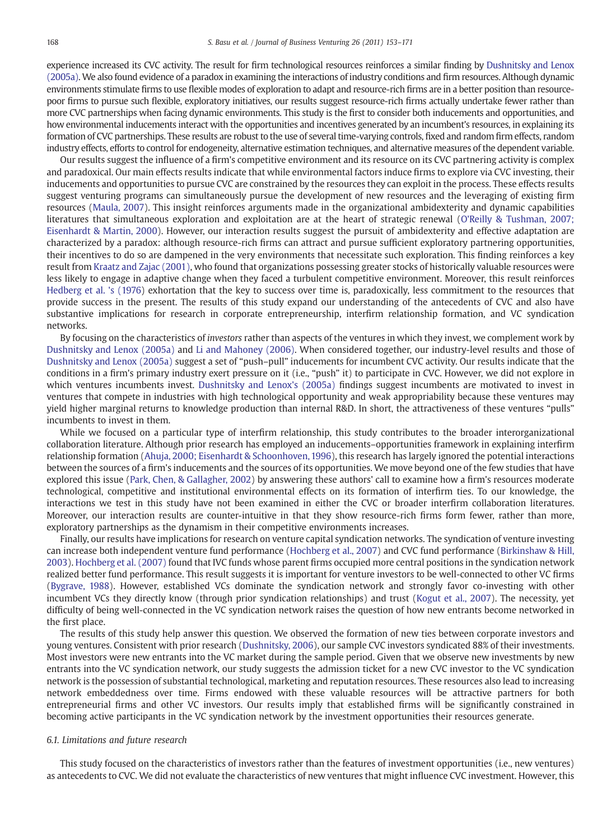experience increased its CVC activity. The result for firm technological resources reinforces a similar finding by [Dushnitsky and Lenox](#page-17-0) [\(2005a\)](#page-17-0). We also found evidence of a paradox in examining the interactions of industry conditions and firm resources. Although dynamic environments stimulate firms to use flexible modes of exploration to adapt and resource-rich firms are in a better position than resourcepoor firms to pursue such flexible, exploratory initiatives, our results suggest resource-rich firms actually undertake fewer rather than more CVC partnerships when facing dynamic environments. This study is the first to consider both inducements and opportunities, and how environmental inducements interact with the opportunities and incentives generated by an incumbent's resources, in explaining its formation of CVC partnerships. These results are robust to the use of several time-varying controls, fixed and random firm effects, random industry effects, efforts to control for endogeneity, alternative estimation techniques, and alternative measures of the dependent variable.

Our results suggest the influence of a firm's competitive environment and its resource on its CVC partnering activity is complex and paradoxical. Our main effects results indicate that while environmental factors induce firms to explore via CVC investing, their inducements and opportunities to pursue CVC are constrained by the resources they can exploit in the process. These effects results suggest venturing programs can simultaneously pursue the development of new resources and the leveraging of existing firm resources ([Maula, 2007](#page-18-0)). This insight reinforces arguments made in the organizational ambidexterity and dynamic capabilities literatures that simultaneous exploration and exploitation are at the heart of strategic renewal [\(O'Reilly & Tushman, 2007;](#page-18-0) [Eisenhardt & Martin, 2000\)](#page-18-0). However, our interaction results suggest the pursuit of ambidexterity and effective adaptation are characterized by a paradox: although resource-rich firms can attract and pursue sufficient exploratory partnering opportunities, their incentives to do so are dampened in the very environments that necessitate such exploration. This finding reinforces a key result from [Kraatz and Zajac \(2001\)](#page-17-0), who found that organizations possessing greater stocks of historically valuable resources were less likely to engage in adaptive change when they faced a turbulent competitive environment. Moreover, this result reinforces [Hedberg et al. 's \(1976\)](#page-17-0) exhortation that the key to success over time is, paradoxically, less commitment to the resources that provide success in the present. The results of this study expand our understanding of the antecedents of CVC and also have substantive implications for research in corporate entrepreneurship, interfirm relationship formation, and VC syndication networks.

By focusing on the characteristics of investors rather than aspects of the ventures in which they invest, we complement work by [Dushnitsky and Lenox \(2005a\)](#page-17-0) and [Li and Mahoney \(2006\)](#page-18-0). When considered together, our industry-level results and those of [Dushnitsky and Lenox \(2005a\)](#page-17-0) suggest a set of "push–pull" inducements for incumbent CVC activity. Our results indicate that the conditions in a firm's primary industry exert pressure on it (i.e., "push" it) to participate in CVC. However, we did not explore in which ventures incumbents invest. [Dushnitsky and Lenox's \(2005a\)](#page-17-0) findings suggest incumbents are motivated to invest in ventures that compete in industries with high technological opportunity and weak appropriability because these ventures may yield higher marginal returns to knowledge production than internal R&D. In short, the attractiveness of these ventures "pulls" incumbents to invest in them.

While we focused on a particular type of interfirm relationship, this study contributes to the broader interorganizational collaboration literature. Although prior research has employed an inducements–opportunities framework in explaining interfirm relationship formation ([Ahuja, 2000; Eisenhardt & Schoonhoven, 1996\)](#page-16-0), this research has largely ignored the potential interactions between the sources of a firm's inducements and the sources of its opportunities. We move beyond one of the few studies that have explored this issue ([Park, Chen, & Gallagher, 2002\)](#page-18-0) by answering these authors' call to examine how a firm's resources moderate technological, competitive and institutional environmental effects on its formation of interfirm ties. To our knowledge, the interactions we test in this study have not been examined in either the CVC or broader interfirm collaboration literatures. Moreover, our interaction results are counter-intuitive in that they show resource-rich firms form fewer, rather than more, exploratory partnerships as the dynamism in their competitive environments increases.

Finally, our results have implications for research on venture capital syndication networks. The syndication of venture investing can increase both independent venture fund performance [\(Hochberg et al., 2007](#page-17-0)) and CVC fund performance [\(Birkinshaw & Hill,](#page-16-0) [2003\)](#page-16-0). [Hochberg et al. \(2007\)](#page-17-0) found that IVC funds whose parent firms occupied more central positions in the syndication network realized better fund performance. This result suggests it is important for venture investors to be well-connected to other VC firms ([Bygrave, 1988\)](#page-16-0). However, established VCs dominate the syndication network and strongly favor co-investing with other incumbent VCs they directly know (through prior syndication relationships) and trust [\(Kogut et al., 2007\)](#page-17-0). The necessity, yet difficulty of being well-connected in the VC syndication network raises the question of how new entrants become networked in the first place.

The results of this study help answer this question. We observed the formation of new ties between corporate investors and young ventures. Consistent with prior research [\(Dushnitsky, 2006\)](#page-17-0), our sample CVC investors syndicated 88% of their investments. Most investors were new entrants into the VC market during the sample period. Given that we observe new investments by new entrants into the VC syndication network, our study suggests the admission ticket for a new CVC investor to the VC syndication network is the possession of substantial technological, marketing and reputation resources. These resources also lead to increasing network embeddedness over time. Firms endowed with these valuable resources will be attractive partners for both entrepreneurial firms and other VC investors. Our results imply that established firms will be significantly constrained in becoming active participants in the VC syndication network by the investment opportunities their resources generate.

#### 6.1. Limitations and future research

This study focused on the characteristics of investors rather than the features of investment opportunities (i.e., new ventures) as antecedents to CVC. We did not evaluate the characteristics of new ventures that might influence CVC investment. However, this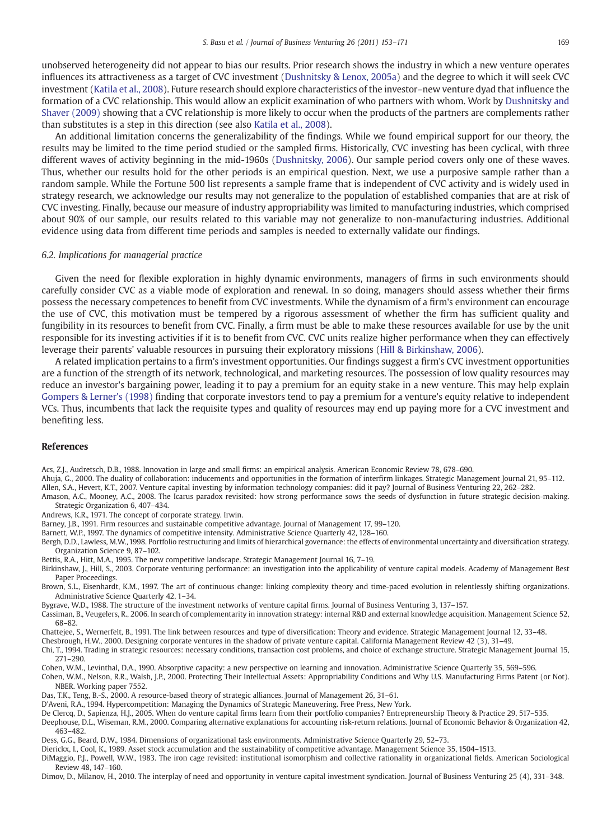<span id="page-16-0"></span>unobserved heterogeneity did not appear to bias our results. Prior research shows the industry in which a new venture operates influences its attractiveness as a target of CVC investment ([Dushnitsky & Lenox, 2005a](#page-17-0)) and the degree to which it will seek CVC investment ([Katila et al., 2008](#page-17-0)). Future research should explore characteristics of the investor–new venture dyad that influence the formation of a CVC relationship. This would allow an explicit examination of who partners with whom. Work by [Dushnitsky and](#page-17-0) [Shaver \(2009\)](#page-17-0) showing that a CVC relationship is more likely to occur when the products of the partners are complements rather than substitutes is a step in this direction (see also [Katila et al., 2008](#page-17-0)).

An additional limitation concerns the generalizability of the findings. While we found empirical support for our theory, the results may be limited to the time period studied or the sampled firms. Historically, CVC investing has been cyclical, with three different waves of activity beginning in the mid-1960s ([Dushnitsky, 2006](#page-17-0)). Our sample period covers only one of these waves. Thus, whether our results hold for the other periods is an empirical question. Next, we use a purposive sample rather than a random sample. While the Fortune 500 list represents a sample frame that is independent of CVC activity and is widely used in strategy research, we acknowledge our results may not generalize to the population of established companies that are at risk of CVC investing. Finally, because our measure of industry appropriability was limited to manufacturing industries, which comprised about 90% of our sample, our results related to this variable may not generalize to non-manufacturing industries. Additional evidence using data from different time periods and samples is needed to externally validate our findings.

#### 6.2. Implications for managerial practice

Given the need for flexible exploration in highly dynamic environments, managers of firms in such environments should carefully consider CVC as a viable mode of exploration and renewal. In so doing, managers should assess whether their firms possess the necessary competences to benefit from CVC investments. While the dynamism of a firm's environment can encourage the use of CVC, this motivation must be tempered by a rigorous assessment of whether the firm has sufficient quality and fungibility in its resources to benefit from CVC. Finally, a firm must be able to make these resources available for use by the unit responsible for its investing activities if it is to benefit from CVC. CVC units realize higher performance when they can effectively leverage their parents' valuable resources in pursuing their exploratory missions ([Hill & Birkinshaw, 2006](#page-17-0)).

A related implication pertains to a firm's investment opportunities. Our findings suggest a firm's CVC investment opportunities are a function of the strength of its network, technological, and marketing resources. The possession of low quality resources may reduce an investor's bargaining power, leading it to pay a premium for an equity stake in a new venture. This may help explain [Gompers & Lerner's \(1998\)](#page-17-0) finding that corporate investors tend to pay a premium for a venture's equity relative to independent VCs. Thus, incumbents that lack the requisite types and quality of resources may end up paying more for a CVC investment and benefiting less.

#### References

Acs, Z.J., Audretsch, D.B., 1988. Innovation in large and small firms: an empirical analysis. American Economic Review 78, 678–690.

Ahuja, G., 2000. The duality of collaboration: inducements and opportunities in the formation of interfirm linkages. Strategic Management Journal 21, 95–112. Allen, S.A., Hevert, K.T., 2007. Venture capital investing by information technology companies: did it pay? Journal of Business Venturing 22, 262–282.

Amason, A.C., Mooney, A.C., 2008. The Icarus paradox revisited: how strong performance sows the seeds of dysfunction in future strategic decision-making. Strategic Organization 6, 407–434.

Andrews, K.R., 1971. The concept of corporate strategy. Irwin.

Barney, J.B., 1991. Firm resources and sustainable competitive advantage. Journal of Management 17, 99–120.

Barnett, W.P., 1997. The dynamics of competitive intensity. Administrative Science Quarterly 42, 128–160.

Bergh, D.D., Lawless, M.W., 1998. Portfolio restructuring and limits of hierarchical governance: the effects of environmental uncertainty and diversification strategy. Organization Science 9, 87–102.

Bettis, R.A., Hitt, M.A., 1995. The new competitive landscape. Strategic Management Journal 16, 7–19.

Birkinshaw, J., Hill, S., 2003. Corporate venturing performance: an investigation into the applicability of venture capital models. Academy of Management Best Paper Proceedings.

Brown, S.L., Eisenhardt, K.M., 1997. The art of continuous change: linking complexity theory and time-paced evolution in relentlessly shifting organizations. Administrative Science Quarterly 42, 1–34.

Bygrave, W.D., 1988. The structure of the investment networks of venture capital firms. Journal of Business Venturing 3, 137–157.

Cassiman, B., Veugelers, R., 2006. In search of complementarity in innovation strategy: internal R&D and external knowledge acquisition. Management Science 52, 68–82.

Chattejee, S., Wernerfelt, B., 1991. The link between resources and type of diversification: Theory and evidence. Strategic Management Journal 12, 33–48.

Chesbrough, H.W., 2000. Designing corporate ventures in the shadow of private venture capital. California Management Review 42 (3), 31–49.

Chi, T., 1994. Trading in strategic resources: necessary conditions, transaction cost problems, and choice of exchange structure. Strategic Management Journal 15, 271–290.

Cohen, W.M., Levinthal, D.A., 1990. Absorptive capacity: a new perspective on learning and innovation. Administrative Science Quarterly 35, 569–596.

Cohen, W.M., Nelson, R.R., Walsh, J.P., 2000. Protecting Their Intellectual Assets: Appropriability Conditions and Why U.S. Manufacturing Firms Patent (or Not). NBER. Working paper 7552.

Das, T.K., Teng, B.-S., 2000. A resource-based theory of strategic alliances. Journal of Management 26, 31–61.

D'Aveni, R.A., 1994. Hypercompetition: Managing the Dynamics of Strategic Maneuvering. Free Press, New York.

De Clercq, D., Sapienza, H.J., 2005. When do venture capital firms learn from their portfolio companies? Entrepreneurship Theory & Practice 29, 517–535.

Deephouse, D.L., Wiseman, R.M., 2000. Comparing alternative explanations for accounting risk-return relations. Journal of Economic Behavior & Organization 42, 463–482.

Dess, G.G., Beard, D.W., 1984. Dimensions of organizational task environments. Administrative Science Quarterly 29, 52–73.

Dierickx, I., Cool, K., 1989. Asset stock accumulation and the sustainability of competitive advantage. Management Science 35, 1504–1513.

DiMaggio, P.J., Powell, W.W., 1983. The iron cage revisited: institutional isomorphism and collective rationality in organizational fields. American Sociological Review 48, 147–160.

Dimov, D., Milanov, H., 2010. The interplay of need and opportunity in venture capital investment syndication. Journal of Business Venturing 25 (4), 331–348.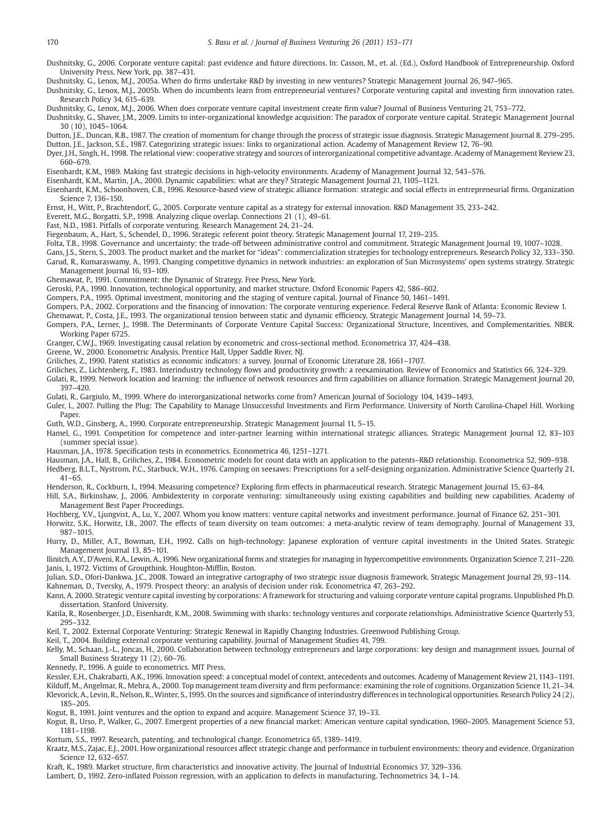<span id="page-17-0"></span>Dushnitsky, G., 2006. Corporate venture capital: past evidence and future directions. In: Casson, M., et. al. (Ed.), Oxford Handbook of Entrepreneurship. Oxford University Press, New York, pp. 387–431.

Dushnitsky, G., Lenox, M.J., 2005a. When do firms undertake R&D by investing in new ventures? Strategic Management Journal 26, 947–965.

Dushnitsky, G., Lenox, M.J., 2005b. When do incumbents learn from entrepreneurial ventures? Corporate venturing capital and investing firm innovation rates. Research Policy 34, 615–639.

Dushnitsky, G., Lenox, M.J., 2006. When does corporate venture capital investment create firm value? Journal of Business Venturing 21, 753–772.

Dushnitsky, G., Shaver, J.M., 2009. Limits to inter-organizational knowledge acquisition: The paradox of corporate venture capital. Strategic Management Journal 30 (10), 1045–1064.

Dutton, J.E., Duncan, R.B., 1987. The creation of momentum for change through the process of strategic issue diagnosis. Strategic Management Journal 8, 279–295.

Dutton, J.E., Jackson, S.E., 1987. Categorizing strategic issues: links to organizational action. Academy of Management Review 12, 76–90.

Dyer, J.H., Singh, H., 1998. The relational view: cooperative strategy and sources of interorganizational competitive advantage. Academy of Management Review 23, 660–679.

Eisenhardt, K.M., 1989. Making fast strategic decisions in high-velocity environments. Academy of Management Journal 32, 543–576.

Eisenhardt, K.M., Martin, J.A., 2000. Dynamic capabilities: what are they? Strategic Management Journal 21, 1105–1121.

Eisenhardt, K.M., Schoonhoven, C.B., 1996. Resource-based view of strategic alliance formation: strategic and social effects in entrepreneurial firms. Organization Science 7, 136–150.

Ernst, H., Witt, P., Brachtendorf, G., 2005. Corporate venture capital as a strategy for external innovation. R&D Management 35, 233–242.

Everett, M.G., Borgatti, S.P., 1998. Analyzing clique overlap. Connections 21 (1), 49–61.

Fast, N.D., 1981. Pitfalls of corporate venturing. Research Management 24, 21–24.

Fiegenbaum, A., Hart, S., Schendel, D., 1996. Strategic referent point theory. Strategic Management Journal 17, 219–235.

Folta, T.B., 1998. Governance and uncertainty: the trade-off between administrative control and commitment. Strategic Management Journal 19, 1007–1028.

Gans, J.S., Stern, S., 2003. The product market and the market for "ideas": commercialization strategies for technology entrepreneurs. Research Policy 32, 333–350. Garud, R., Kumaraswamy, A., 1993. Changing competitive dynamics in network industries: an exploration of Sun Microsystems' open systems strategy. Strategic

Management Journal 16, 93–109. Ghemawat, P., 1991. Commitment: the Dynamic of Strategy. Free Press, New York.

Geroski, P.A., 1990. Innovation, technological opportunity, and market structure. Oxford Economic Papers 42, 586–602.

Gompers, P.A., 1995. Optimal investment, monitoring and the staging of venture capital. Journal of Finance 50, 1461–1491.

Gompers, P.A., 2002. Corporations and the financing of innovation: The corporate venturing experience. Federal Reserve Bank of Atlanta: Economic Review 1.

Ghemawat, P., Costa, J.E., 1993. The organizational tension between static and dynamic efficiency. Strategic Management Journal 14, 59–73.

Gompers, P.A., Lerner, J., 1998. The Determinants of Corporate Venture Capital Success: Organizational Structure, Incentives, and Complementarities. NBER. Working Paper 6725.

Granger, C.W.J., 1969. Investigating causal relation by econometric and cross-sectional method. Econometrica 37, 424–438.

Greene, W., 2000. Econometric Analysis. Prentice Hall, Upper Saddle River, NJ.

Griliches, Z., 1990. Patent statistics as economic indicators: a survey. Journal of Economic Literature 28, 1661–1707.

Griliches, Z., Lichtenberg, F., 1983. Interindustry technology flows and productivity growth: a reexamination. Review of Economics and Statistics 66, 324–329.

Gulati, R., 1999. Network location and learning: the influence of network resources and firm capabilities on alliance formation. Strategic Management Journal 20, 397–420.

Gulati, R., Gargiulo, M., 1999. Where do interorganizational networks come from? American Journal of Sociology 104, 1439–1493.

Guler, I., 2007. Pulling the Plug: The Capability to Manage Unsuccessful Investments and Firm Performance. University of North Carolina-Chapel Hill. Working Paper.

Guth, W.D., Ginsberg, A., 1990. Corporate entrepreneurship. Strategic Management Journal 11, 5–15.

Hamel, G., 1991. Competition for competence and inter-partner learning within international strategic alliances. Strategic Management Journal 12, 83–103 (summer special issue).

Hausman, J.A., 1978. Specification tests in econometrics. Econometrica 46, 1251–1271.

Hausman, J.A., Hall, B., Griliches, Z., 1984. Econometric models for count data with an application to the patents–R&D relationship. Econometrica 52, 909–938. Hedberg, B.L.T., Nystrom, P.C., Starbuck, W.H., 1976. Camping on seesaws: Prescriptions for a self-designing organization. Administrative Science Quarterly 21, 41–65.

Henderson, R., Cockburn, I., 1994. Measuring competence? Exploring firm effects in pharmaceutical research. Strategic Management Journal 15, 63–84.

Hill, S.A., Birkinshaw, J., 2006. Ambidexterity in corporate venturing: simultaneously using existing capabilities and building new capabilities. Academy of Management Best Paper Proceedings.

Hochberg, Y.V., Ljungvist, A., Lu, Y., 2007. Whom you know matters: venture capital networks and investment performance. Journal of Finance 62, 251–301.

Horwitz, S.K., Horwitz, I.B., 2007. The effects of team diversity on team outcomes: a meta-analytic review of team demography. Journal of Management 33, 987–1015.

Hurry, D., Miller, A.T., Bowman, E.H., 1992. Calls on high-technology: Japanese exploration of venture capital investments in the United States. Strategic Management Journal 13, 85–101.

Ilinitch, A.Y., D'Aveni, R.A., Lewin, A., 1996. New organizational forms and strategies for managing in hypercompetitive environments. Organization Science 7, 211–220. Janis, I., 1972. Victims of Groupthink. Houghton-Mifflin, Boston.

Julian, S.D., Ofori-Dankwa, J.C., 2008. Toward an integrative cartography of two strategic issue diagnosis framework. Strategic Management Journal 29, 93–114. Kahneman, D., Tversky, A., 1979. Prospect theory: an analysis of decision under risk. Econometrica 47, 263–292.

Kann, A. 2000. Strategic venture capital investing by corporations: A framework for structuring and valuing corporate venture capital programs. Unpublished Ph.D. dissertation. Stanford University.

Katila, R., Rosenberger, J.D., Eisenhardt, K.M., 2008. Swimming with sharks: technology ventures and corporate relationships. Administrative Science Quarterly 53, 295–332.

Keil, T., 2002. External Corporate Venturing: Strategic Renewal in Rapidly Changing Industries. Greenwood Publishing Group.

Keil, T., 2004. Building external corporate venturing capability. Journal of Management Studies 41, 799.

Kelly, M., Schaan, J.-L., Joncas, H., 2000. Collaboration between technology entrepreneurs and large corporations: key design and management issues. Journal of Small Business Strategy 11 (2), 60–76.

Kennedy, P., 1996. A guide to econometrics. MIT Press.

Kessler, E.H., Chakrabarti, A.K., 1996. Innovation speed: a conceptual model of context, antecedents and outcomes. Academy of Management Review 21, 1143–1191. Kilduff, M., Angelmar, R., Mehra, A., 2000. Top management team diversity and firm performance: examining the role of cognitions. Organization Science 11, 21–34.

Klevorick, A., Levin, R., Nelson, R., Winter, S., 1995. On the sources and significance of interindustry differences in technological opportunities. Research Policy 24 (2), 185–205.

Kogut, B., 1991. Joint ventures and the option to expand and acquire. Management Science 37, 19–33.

Kogut, B., Urso, P., Walker, G., 2007. Emergent properties of a new financial market: American venture capital syndication, 1960–2005. Management Science 53, 1181–1198.

Kortum, S.S., 1997. Research, patenting, and technological change. Econometrica 65, 1389–1419.

Kraatz, M.S., Zajac, E.J., 2001. How organizational resources affect strategic change and performance in turbulent environments: theory and evidence. Organization Science 12, 632–657.

Kraft, K., 1989. Market structure, firm characteristics and innovative activity. The Journal of Industrial Economics 37, 329–336.

Lambert, D., 1992. Zero-inflated Poisson regression, with an application to defects in manufacturing. Technometrics 34, 1–14.